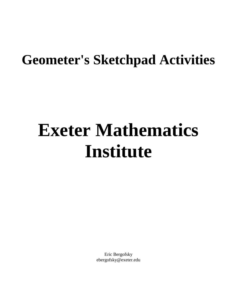# **Geometer's Sketchpad Activities**

# **Exeter Mathematics Institute**

Eric Bergofsky ebergofsky@exeter.edu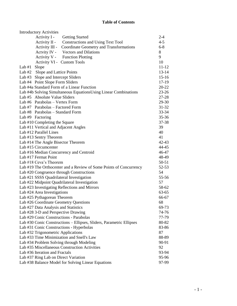#### **Table of Contents**

| <b>Introductory Activities</b>                                                             |                |
|--------------------------------------------------------------------------------------------|----------------|
| Activity I -<br><b>Getting Started</b>                                                     | $2 - 4$        |
| Activity II -<br>Constructions and Using Text Tool                                         | $4 - 5$        |
| Activity III -<br>Coordinate Geometry and Transformations                                  | $6 - 8$        |
| Actvity IV -<br><b>Vectors and Dilations</b>                                               | 8              |
| Activity V - Function Plotting                                                             | 9              |
| Activity VI - Custom Tools                                                                 | 10             |
| Slope<br>Lab $#1$                                                                          | $11 - 12$      |
| Lab #2 Slope and Lattice Points                                                            | $13-14$        |
| Slope and Intercept Sliders<br>Lab $#3$                                                    | $15-16$        |
| Lab #4 Point Slope Form Sliders                                                            | $17-19$        |
| Lab #4a Standard Form of a Linear Function                                                 | $20 - 22$      |
| Lab #4b Solving Simultaneous EquationsUsing Linear Combinations                            | $23-26$        |
| Lab #5 Absolute Value Sliders                                                              | $27 - 28$      |
| Lab #6 Parabolas - Vertex Form                                                             | 29-30          |
| Lab #7 Parabolas – Factored Form                                                           | $31 - 32$      |
| Lab #8 Parabolas – Standard Form                                                           | $33 - 34$      |
| Lab #9 Factoring                                                                           | $35 - 36$      |
| Lab #10 Completing the Square                                                              | 37-38          |
| Lab #11 Vertical and Adjacent Angles                                                       | 39             |
| Lab #12 Parallel Lines                                                                     | 40             |
| Lab #13 Sentry Theorem                                                                     | 41             |
| Lab #14 The Angle Bisector Theorem                                                         | $42 - 43$      |
| Lab #15 Circumcenter                                                                       | 44-45          |
| Lab #16 Median Concurrency and Centroid                                                    | 46-47          |
| Lab #17 Fermat Point                                                                       | 48-49          |
| Lab #18 Ceva's Theorem                                                                     | $50 - 51$      |
| Lab #19 The Orthocenter and a Review of Some Points of Concurrency                         | $52 - 53$      |
| Lab #20 Congruence through Constructions                                                   | 54             |
| Lab #21 SSSS Quadrilateral Investigation                                                   | 55-56          |
| Lab #22 Midpoint Quadrilateral Investigation                                               | 57             |
| Lab #23 Investigating Reflections and Mirrors                                              | 58-62          |
| Lab #24 Area Investigations                                                                | $63 - 65$      |
| Lab #25 Pythagorean Theorem                                                                | 66-67          |
| Lab #26 Coordinate Geometry Questions                                                      | 68             |
| Lab #27 Data Analysis and Statistics                                                       | 69-73          |
| Lab #28 3-D and Perspective Drawing                                                        | 74-76          |
| Lab #29 Conic Constructions - Parabolas                                                    | 77-79          |
| Lab #30 Conic Constructions - Ellipses, Sliders, Parametric Ellipses                       | 80-82          |
| Lab #31 Conic Constructions - Hyperbolas                                                   | 83-86          |
| Lab #32 Trigonometric Applications                                                         | 87             |
| Lab #33 Time Minimization and Snell's Law                                                  | 88-89          |
| Lab #34 Problem Solving through Modeling                                                   | 90-91          |
| Lab #35 Miscellaneous Construction Activities<br>Lab #36 Iteration and Fractals            | 92             |
|                                                                                            | 93-94<br>95-96 |
| Lab #37 Ring Lab on Direct Variation<br>Lab #38 Balance Model for Solving Linear Equations | 97-99          |
|                                                                                            |                |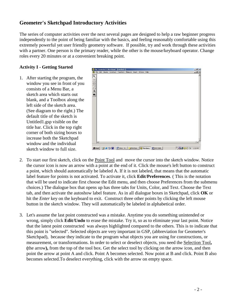# **Geometer's Sketchpad Introductory Activities**

The series of computer activities over the next several pages are designed to help a raw beginner progress independently to the point of being familiar with the basics, and feeling reasonably comfortable using this extremely powerful yet user friendly geometry software. If possible, try and work through these activities with a partner. One person is the primary reader, while the other is the mouse/keyboard operator. Change roles every 20 minutes or at a convenient breaking point.

#### **Activity I - Getting Started**

1. After starting the program, the window you see in front of you consists of a Menu Bar, a sketch area which starts out blank, and a Toolbox along the left side of the sketch area. (See diagram to the right.) The default title of the sketch is Untitled1.gsp visible on the title bar. Click in the top right corner of both sizing boxes to increase both the Sketchpad window and the individual sketch window to full size.



- 2. To start our first sketch, click on the Point Tool and move the cursor into the sketch window. Notice the cursor icon is now an arrow with a point at the end of it. Click the mouse's left button to construct a point, which should automatically be labeled A. If it is not labeled, that means that the automatic label feature for points is not activated. To activate it, click **Edit**/**Preferences**. ( This is the notation that will be used to indicate first choose the Edit menu, and then choose Preferences from the submenu choices.) The dialogue box that opens up has three tabs for Units, Color, and Text. Choose the Text tab, and then activate the autoshow label feature. As in all dialogue boxes in Sketchpad, click **OK** or hit the *Enter* key on the keyboard to exit. Construct three other points by clicking the left mouse button in the sketch window. They will automatically be labeled in alphabetical order.
- 3. Let's assume the last point constructed was a mistake. Anytime you do something unintended or wrong, simply click **Edit**/**Undo** to erase the mistake. Try it, so as to eliminate your last point. Notice that the latest point constructed was always highlighted compared to the others. This is to indicate that this point is "selected". Selected objects are very important in GSP, (abbreviation for Geometer's Sketchpad), because they indicate to the program what objects you are using for constructions, or measurement, or transformations. In order to select or deselect objects, you need the Selection Tool**, (**the arrow**),** from the top of the tool box. Get the select tool by clicking on the arrow icon, and then point the arrow at point A and click. Point A becomes selected. Now point at B and click. Point B also becomes selected.To deselect everything, click with the arrow on empty space.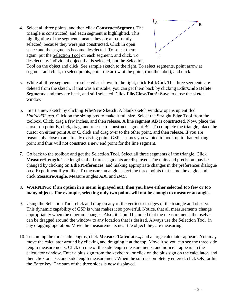**4.** Select all three points, and then click **Construct**/**Segment**. The triangle is constructed, and each segment is highlighted. This highlighting of the segments means they are all currently selected, because they were just constructed. Click in open space and the segments become deselected. To select them again, put the Selection Tool on each segment, and click. To deselect any individual object that is selected, put the Selection



Tool on the object and click. See sample sketch to the right. To select segments, point arrow at segment and click, to select points, point the arrow at the point, (not the label), and click.

- 5. While all three segments are selected as shown to the right, click **Edit**/**Cut.** The three segments are deleted from the sketch. If that was a mistake, you can get them back by clicking **Edit**/**Undo Delete Segments**, and they are back, and still selected. Click **File**/**Close**/**Don't Save** to close the sketch window.
- 6. Start a new sketch by clicking **File**/**New Sketch.** A blank sketch window opens up entitled *Untitled02.gsp*. Click on the sizing box to make it full size. Select the Straight Edge Tool from the toolbox. Click, drag a few inches, and then release. A line segment AB is constructed. Now, place the cursor on point B, click, drag, and release to construct segment BC. To complete the triangle, place the cursor on either point A or C, click and drag over to the other point, and then release. If you are reasonably close to an already existing point, GSP assumes you wanted to hook up to that existing point and thus will not construct a new end point for the line segment.
- 7. Go back to the toolbox and get the Selection Tool. Select all three segments of the triangle. Click **Measure**/**Length.** The lengths of all three segments are displayed. The units and precision may be changed by clicking on **Edit**/**Preferences**, and making appropriate changes in the preferences dialogue box. Experiment if you like. To measure an angle, select the three points that name the angle, and click **Measure**/**Angle**. Measure angles *ABC* and *BAC*.

#### **8. WARNING: If an option in a menu is grayed out, then you have either selected too few or too many objects. For example, selecting only two points will not be enough to measure an angle.**

- 9. Using the Selection Tool, click and drag on any of the vertices or edges of the triangle and observe. This dynamic capability of GSP is what makes it so powerful. Notice, that all measurements change appropriately when the diagram changes. Also, it should be noted that the measurements themselves can be dragged around the window to any location that is desired. Always use the Selection Tool in any dragging operation. Move the measurements near the object they are measuring.
- 10. To sum up the three side lengths, click **Measure**/**Calculate...,** and a large calculator appears. You may move the calculator around by clicking and dragging it at the top. Move it so you can see the three side length measurements. Click on one of the side length measurements, and notice it appears in the calculator window. Enter a plus sign from the keyboard, or click on the plus sign on the calculator, and then click on a second side length measurement. When the sum is completely entered, click **OK**, or hit the *Enter* key. The sum of the three sides is now displayed.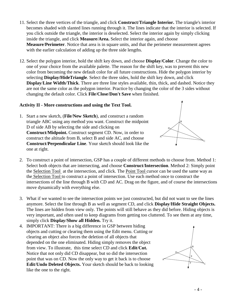- 4 -

- 11. Select the three vertices of the triangle, and click **Construct**/**Triangle Interior.** The triangle's interior becomes shaded with slanted lines running through it. The lines indicate that the interior is selected. If you click outside the triangle, the interior is deselected. Select the interior again by simply clicking inside the triangle, and click **Measure**/**Area.** Select the interior again, and choose **Measure**/**Perimeter**. Notice that area is in square units, and that the perimeter measurement agrees with the earlier calculation of adding up the three side lengths.
- 12. Select the polygon interior, hold the shift key down, and choose **Display**/**Color**. Change the color to one of your choice from the available palette. The reason for the shift key, was to prevent this new color from becoming the new default color for all future constructions. Hide the polygon interior by selecting **Display/HideTriangle**. Select the three sides, hold the shift key down, and click **Display**/**Line Width**/**Thick**. There are three line styles available, thin, thick, and dashed. Notice they are not the same color as the polygon interior. Practice by changing the color of the 3 sides without changing the default color. Click **File**/**Close**/**Don't Save** when finished.

#### **Activity II - More constructions and using the Text Tool.**

- 1. Start a new sketch, (**File**/**New Sketch**), and construct a random triangle ABC using any method you want. Construct the midpoint D of side AB by selecting the side and clicking on **Construct**/**Midpoint.** Construct segment CD. Now, in order to construct the altitude from B, select B and side AC, and choose **Construct**/**Perpendicular Line**. Your sketch should look like the one at right.
- 2. To construct a point of intersection, GSP has a couple of different methods to choose from. Method 1: Select both objects that are intersecting, and choose **Construct**/**Intersection**. Method 2: Simply point the Selection Tool at the intersection, and click. The Point Tool cursor can be used the same way as the Selection Tool to construct a point of intersection. Use each method once to construct the intersections of the line through B with CD and AC. Drag on the figure, and of course the intersections move dynamically with everything else.
- 3. What if we wanted to see the intersection points we just constructed, but did not want to see the lines anymore. Select the line through B as well as segment CD, and click **Display**/**Hide Straight Objects.**  The lines are hidden from view only. The points will still behave as they did before. Hiding objects is very important, and often used to keep diagrams from getting too cluttered. To see them at any time, simply click **Display**/**Show all Hidden.** Try it.
- 4. IMPORTANT: There is a big difference in GSP between hiding objects and cutting or clearing them using the Edit menu. Cutting or clearing an object also forces the deletion of all objects that depended on the one eliminated. Hiding simply removes the object from view. To illustrate, this time select CD and click **Edit**/**Cut.**  Notice that not only did CD disappear, but so did the intersection point that was on CD. Now the only way to get it back is to choose **Edit**/**Undo Deleted Objects.** Your sketch should be back to looking like the one to the right.



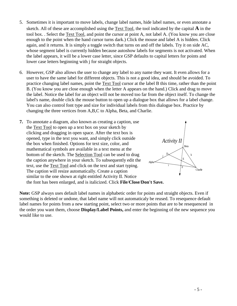- 5. Sometimes it is important to move labels, change label names, hide label names, or even annotate a sketch. All of these are accomplished using the  $Text Tool$ , the tool indicated by the capital  $\bf{A}$  in the tool box. . Select the Text Tool, and point the cursor at point A, not label A. (You know you are close enough to the point when the hand cursor turns dark.) Click the mouse and label A is hidden. Click again, and it returns. It is simply a toggle switch that turns on and off the labels. Try it on side AC, whose segment label is currently hidden because autoshow labels for segments is not activated. When the label appears, it will be a lower case letter, since GSP defaults to capital letters for points and lower case letters beginning with j for straight objects.
- 6. However, GSP also allows the user to change any label to any name they want. It even allows for a user to have the same label for different objects. This is not a good idea, and should be avoided. To practice changing label names, point the Text Tool cursor at the label B this time, rather than the point B. (You know you are close enough when the letter A appears on the hand.) Click and drag to move the label. Notice the label for an object will not be moved too far from the object itself. To change the label's name, double click the mouse button to open up a dialogue box that allows for a label change. You can also control font type and size for individual labels from this dialogue box. Practice by changing the three vertices from A,B,C to Alpha, Beta, and Charlie.
- **7.** To annotate a diagram, also known as creating a caption, use the Text Tool to open up a text box on your sketch by clicking and dragging in open space. After the text box is opened, type in the text you want, and simply click outside the box when finished. Options for text size, color, and mathematical symbols are available in a text menu at the bottom of the sketch. The Selection Tool can be used to drag the caption anywhere in your sketch. To subsequently edit the text, use the Text Tool and click on the text and start typing. The caption will resize automatically. Create a caption similar to the one shown at right entitled Activity II. Notice the font has been enlarged, and is italicized. Click **File**/**Close**/**Don't Save.**  $j^{\mu}$   $\left| \right|$   $\left| \right|$ i Alpha Beta Charlie D.a F E *Activity II*

**Note:** GSP always uses default label names in alphabetic order for points and straight objects. Even if something is deleted or undone, that label name will not automaticaly be reused. To resequence default label names for points from a new starting point, select two or more points that are to be resequenced in the order you want them, choose **Display/Label Points,** and enter the beginning of the new sequence you would like to use.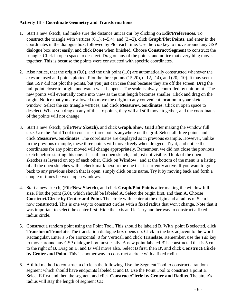#### **Activity III - Coordinate Geometry and Transformations**

- 1. Start a new sketch, and make sure the distance unit is **cm** by clicking on **Edit**/**Preferences**. To construct the triangle with vertices  $(6,1)$ ,  $(-5,4)$ , and  $(3,-2)$ , click **Graph/Plot Points,** and enter in the coordinates in the dialogue box, followed by Plot each time. Use the *Tab* key to move around any GSP dialogue box most easily, and click **Done** when finished. Choose **Construct**/**Segment** to construct the triangle. Click in open space to deselect. Drag on any of the points, and notice that everything moves together. This is because the points were constructed with specific coordinates.
- 2. Also notice, that the origin  $(0,0)$ , and the unit point  $(1,0)$  are automatically constructed whenever the axes are used and points plotted. Plot the three points  $(15,20)$ ,  $(-12,-14)$ , and  $(20,-10)$ . It may seem that GSP did not plot the points, but you just can't see them because they are off the screen. Drag the unit point closer to origin, and watch what happens. The scale is always controlled by unit point . The new points will eventually come into view as the unit length becomes smaller. Click and drag on the origin. Notice that you are allowed to move the origin to any convenient location in your sketch window. Select the six triangle vertices, and click **Measure**/**Coordinates**. Click in open space to deselect. When you drag on any of the six points, they will all still move together, and the coordinates of the points will not change.
- 3. Start a new sketch, (**File**/**New Sketch**), and click **Graph**/**Show Grid** after making the window full size. Use the Point Tool to construct three points anywhere on the grid. Select all three points and click **Measure**/**Coordinates**. The coordinates are displayed as in previous example. However, unlike in the previous example, these three points will move freely when dragged. Try it, and notice the coordinates for any point moved will change appropriately. Remember, we did not close the previous sketch before starting this one. It is still an open sketch, and just not visible. Think of the open sketches as layered on top of each other. Click on **Window** , and at the bottom of the menu is a listing of all the open sketches with a check mark next to the one that is currently active. If you want to go back to any previous sketch that is open, simply click on its name. Try it by moving back and forth a couple of times between open windows.
- 4. Start a new sketch, (**File**/**New Sketch**), and click **Graph**/**Plot Points** after making the window full size. Plot the point (5,0), which should be labeled A. Select the origin first, and then A. Choose **Construct**/**Circle by Center and Point.** The circle with center at the origin and a radius of 5 cm is now constructed. This is one way to construct circles with a fixed radius that won't change. Note that it was important to select the center first. Hide the axis and let's try another way to construct a fixed radius circle.
- 5. Construct a random point using the Point Tool. This should be labeled B. With point B selected, click **Transform**/**Translate**. The translation dialogue box opens up. Click in the box adjacent to the word Rectangular. Enter a 5 for Horizontal, 0 for Vertical, and click **Translate**. Remember, use the *Tab* key to move around any GSP dialogue box most easily. A new point labeled B' is constructed that is 5 cm to the right of B. Drag on B, and B' will move also. Select B first, then B', and click **Construct**/**Circle by Center and Point.** This is another way to construct a circle with a fixed radius.
- 6. A third method to construct a circle is the following. Use the Segment Tool to construct a random segment which should have endpoints labeled C and D. Use the Point Tool to construct a point E. Select E first and then the segment and click **Construct/Circle by Center and Radius**. The circle's radius will stay the length of segment CD.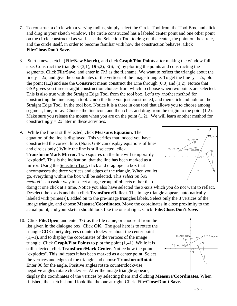- 7. To construct a circle with a varying radius, simply select the Circle Tool from the Tool Box, and click and drag in your sketch window. The circle constructed has a labeled center point and one other point on the circle constructed as well. Use the Selection Tool to drag on the center, the point on the circle, and the circle itself, in order to become familiar with how the construction behaves. Click **File**/**Close**/**Don't Save.**
- 8. Start a new sketch, (**File**/**New Sketch**), and click **Graph**/**Plot Points** after making the window full size. Construct the triangle  $C(3,1)$ ,  $D(5,2)$ ,  $E(6,-5)$  by plotting the points and constructing the segments. Click **File**/**Save**, and enter in *Tr1* as the filename. We want to reflect the triangle about the line  $y = 2x$ , and give the coordinates of the vertices of the image triangle. To get the line  $y = 2x$ , plot the point (1,2) and use the **Construct** menu construct the Line through (0,0) and (1,2). Notice that GSP gives you three straight construction choices from which to choose when two points are selected. This is also true with the Straight Edge Tool from the tool box. Let's try another method for constructing the line using a tool. Undo the line you just constructed, and then click and hold on the Straight Edge Tool in the tool box. Notice it is a three in one tool that allows you to choose among segment, line, or ray. Choose the line icon, and then click and drag from the origin to the point (1,2). Make sure you release the mouse when you are on the point (1,2). We will learn another method for constructing  $y = 2x$  later in these activities.

9. While the line is still selected, click **Measure**/**Equation.** The equation of the line is displayed. This verifies that indeed you have constructed the correct line. (Note: GSP can display equations of lines and circles only.) While the line is still selected, click **Transform**/**Mark Mirror**. Two squares on the line will temporarily "explode". This is the indication, that the line has been marked as a mirror. Using the Selection Tool, click and drag open a box that encompasses the three vertices and edges of the triangle. When you let go, everything within the box will be selected. This *selection box method* is an easier way to select a large group of objects rather than

doing it one click at a time. Notice you also have selected the x-axis which you do not want to reflect. Deselect the x-axis and then click **Transform**/**Reflect**. The image triangle appears automatically labeled with primes ('), added on to the pre-image triangles labels. Select only the 3 vertices of the image triangle, and choose **Measure**/**Coordinates**. Move the coordinates in close proximity to the actual point, and your sketch should look like the one at right. Click **File**/**Close**/**Don't Save.**

10. Click **File**/**Open**, and enter *Tr1* as the file name, or choose it from the list given in the dialogue box. Click **OK**. The goal here is to rotate the triangle CDE ninety degrees counterclockwise about the center point  $(1,-1)$ , and to display the coordinates of the vertices of the image triangle. Click **Graph/Plot Points** to plot the point  $(1,-1)$ . While it is still selected, click **Transform**/**Mark Center**. Notice how the point "explodes". This indicates it has been marked as a center point. Select the vertices and edges of the triangle and choose **Transform**/**Rotate**. Enter 90 for the angle. Positive angles rotate counterclockwise, negative angles rotate clockwise. After the image triangle appears,

display the coordinates of the vertices by selecting them and clicking **Measure**/**Coordinates**. When finished, the sketch should look like the one at right. Click **File**/**Close**/**Don't Save.**



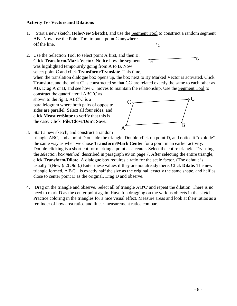#### **Activity IV- Vectors and Dilations**

- 1.Start a new sketch, (**File**/**New Sketch**), and use the Segment Tool to construct a random segment AB. Now, use the Point Tool to put a point C anywhere off the line.  $^{\circ}C$
- 2. Use the Selection Tool to select point A first, and then B. Click **Transform**/**Mark Vector.** Notice how the segment was highlighted temporarily going from A to B. Now select point C and click **Transform**/**Translate**. This time,  $\mathcal{A}$ B

when the translation dialogue box opens up, the box next to By Marked Vector is activated. Click **Translate,** and the point C' is constructed so that CC' are related exactly the same to each other as AB. Drag A or B, and see how C' moves to maintain the relationship. Use the Segment Tool to construct the quadrilateral ABC'C as

shown to the right. ABC'C is a parallelogram where both pairs of opposite sides are parallel. Select all four sides, and click **Measure**/**Slope** to verify that this is the case. Click **File**/**Close**/**Don't Save.** 



3. Start a new sketch, and construct a random

triangle ABC, and a point D outside the triangle. Double-click on point D, and notice it "explode" the same way as when we chose **Transform**/**Mark Center** for a point in an earlier activity. Double-clicking is a short cut for marking a point as a center. Select the entire triangle. Try using the *selection box method* described in paragraph #9 on page 7. After selecting the entire triangle, click **Transform**/**Dilate.** A dialogue box requires a ratio for the scale factor. (The default is usually 1(New )/ 2(Old ).) Enter these values if they are not already there. Click **Dilate.** The new triangle formed, A'B'C', is exactly half the size as the original, exactly the same shape, and half as close to center point D as the original. Drag D and observe.

4. Drag on the triangle and observe. Select all of triangle A'B'C' and repeat the dilation. There is no need to mark D as the center point again. Have fun dragging on the various objects in the sketch. Practice coloring in the triangles for a nice visual effect. Measure areas and look at their ratios as a reminder of how area ratios and linear measurement ratios compare.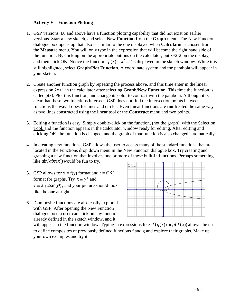#### **Activity V – Function Plotting**

- 1. GSP versions 4.0 and above have a function plotting capability that did not exist on earlier versions. Start a new sketch, and select **New Function** from the **Graph** menu. The New Function dialogue box opens up that also is similar to the one displayed when **Calculator** is chosen from the **Measure** menu. You will only type in the expression that will become the right hand side of the function. By clicking on the appropriate buttons on the calculator, put  $x^2-2$  on the display, and then click OK. Notice the function  $f(x) = x^2 - 2$  is displayed in the sketch window. While it is still highlighted, select **Graph/Plot Function.** A coordinate system and the parabola will appear in your sketch.
- 2. Create another function graph by repeating the process above, and this time enter in the linear expression 2x+1 in the calculator after selecting **Graph/New Function**. This time the function is called  $g(x)$ . Plot this function, and change its color to contrast with the parabola. Although it is clear that these two functions intersect, GSP does not find the intersection points between functions the way it does for lines and circles. Even linear functions are **not** treated the same way as two lines constructed using the linear tool or the **Construct** menu and two points.
- 3. Editing a function is easy. Simply double-click on the function, (not the graph), with the Selection Tool, and the function appears in the Calculator window ready for editing. After editing and clicking OK, the function is changed, and the graph of that function is also changed automatically.
- 4. In creating new functions, GSP allows the user to access many of the standard functions that are located in the Functions drop down menu in the New Function dialogue box. Try creating and graphing a new function that involves one or more of these built-in functions. Perhaps something like  $sin(abs(x))$  would be fun to try. 12
- 5. GSP allows for  $x = f(y)$  format and  $r = f(\theta)$ format for graphs. Try  $x = y^2$  and  $r = 2 + 2\sin(\theta)$ , and your picture should look like the one at right.
- 6. Composite functions are also easily explored with GSP. After opening the New Function dialogue box, a user can click on any function already defined in the sketch window, and it



will appear in the function window. Typing in expressions like  $f(g(x))$  or  $g(f(x))$  allows the user to define composites of previously defined functions f and g and explore their graphs. Make up your own examples and try it.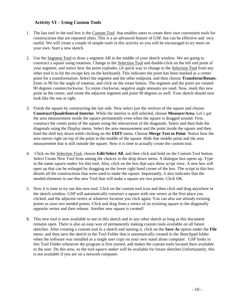#### **Activity VI – Using Custom Tools**

- 1. The last tool in the tool box is the Custom Tool that enables users to create their own convenient tools for constructions that are repeated often. This is a an advanced feature of GSP, but can be effective and very useful. We will create a couple of simple tools in this activity so you will be encouraged to try more on your own. Start a new sketch.
- 2. Use the Segment Tool to draw a segment AB in the middle of your sketch window. We are going to construct a square using rotations. Change to the Selection Tool and double-click on the left end point of your segment, and notice how the point explodes. (A quick way to change to the Selection Tool from any other tool is to hit the escape key on the keyboard). This indicates the point has been marked as a center point for a transformation. Select the segment and the other endpoint, and then choose **Transform/Rotate.**  Enter in 90 for the angle of rotation, and click on the rotate button. The segment and the point are rotated 90 degrees counterclockwise. To rotate clockwise, negative angle amounts are used. Now, mark this new point as the center, and rotate the adjacent segment and point 90 degrees as well. Your sketch should now look like the one at right.
- 3. Finish the square by constructing the last side. Now select just the vertices of the square and choose **Construct/Quadrilateral Interior**. While the interior is still selected, choose **Measure/Area.** Let's get the area measurement inside the square permanently even when the square is dragged around. First, construct the center point of the square using the intersection of the diagonals. Select and then hide the diagonals using the Display menu. Select the area measurement and the point inside the square and then hold the shift key down while clicking on the **EDIT** menu. Choose **Merge Text to Point**. Notice how the area moves right on top of the point in the middle of the square. Hide that middle point and the area measurement that is still outside the square. Now it is time to actually create the custom tool.
- 4. Click on the Selection Tool, choose **Edit/Select All**, and then click and hold on the Custom Tool button. Select Create New Tool from among the choices in the drop down menu. A dialogue box opens up. Type in the name *square maker* for this tool. Also, click on the box that says show script view. A new box will open up that can be enlarged by dragging on the lower right hand corner of the box. The script in this box details all the constructions that were used to make the square. Importantly, it also indicates that the needed elements to use this new Tool that will make a square are two points. Click OK.
- 5. Now it is time to try out this new tool. Click on the custom tool icon and then click and drag anywhere in the sketch window. GSP will automatically construct a square with one vertex at the first place you clicked, and the adjacent vertex at whatever location you click again. You can also use already existing points as your two needed points. Click and drag from a vertex of an exisiting square to the diagonally opposite vertex and then release. Another new square is created!
- 6. This new tool is now available to use in this sketch and in any other sketch as long as this document remains open. There is also an easy way of permanently making custom tools available on all future sketches. After creating a custom tool in a sketch and naming it, click on the **Save As** option under the **File** menu. and then save the sketch in the Tool Folder that is automatically created in the Sketchpad folder when the software was installed as a single user copy on your own stand alone computer. GSP looks in this Tool Folder whenever the program is first started, and makes the custom tools located there available to the user. Do this now, so the tool *square maker* will be available for future sketches.Unfortunately, this is not available if you are on a network computer.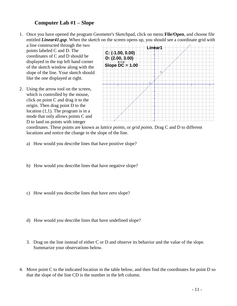# **Computer Lab #1 – Slope**

- 1. Once you have opened the program Geometer's Sketchpad, click on menu **File/Open**, and choose file entitled *Linear41.gsp*. When the sketch on the screen opens up, you should see a coordinate grid with
	- a line constructed through the two points labeled C and D. The coordinates of C and D should be displayed in the top left hand corner of the sketch window along with the slope of the line. Your sketch should like the one displayed at right.
- 2. Using the arrow tool on the screen, which is controlled by the mouse, click on point C and drag it to the origin. Then drag point D to the location  $(1,1)$ . The program is in a mode that only allows points C and D to land on points with integer



coordinates. These points are known as *lattice points*, or *grid points*. Drag C and D to different locations and notice the change in the slope of the line.

- a) How would you describe lines that have positive slope?
- b) How would you describe lines that have negative slope?
- c) How would you describe lines that have zero slope?
- d) How would you describe lines that have undefined slope?
- 3. Drag on the line instead of either C or D and observe its behavior and the value of the slope. Summarize your observations below.
- 4. Move point C to the indicated location in the table below, and then find the coordinates for point D so that the slope of the line CD is the number in the left column.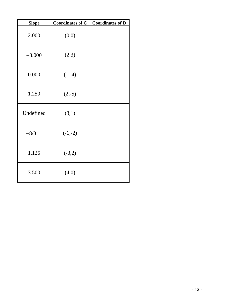| <b>Slope</b> | <b>Coordinates of C</b> | <b>Coordinates of D</b> |
|--------------|-------------------------|-------------------------|
| 2.000        | (0,0)                   |                         |
| $-3.000$     | (2,3)                   |                         |
| 0.000        | $(-1,4)$                |                         |
| 1.250        | $(2,-5)$                |                         |
| Undefined    | (3,1)                   |                         |
| $-8/3$       | $(-1,-2)$               |                         |
| 1.125        | $(-3,2)$                |                         |
| 3.500        | (4,0)                   |                         |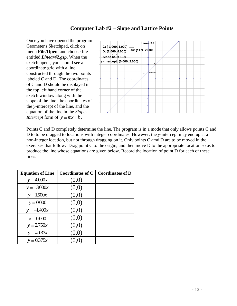#### **Computer Lab #2 – Slope and Lattice Points**

Once you have opened the program Geometer's Sketchpad, click on menu **File/Open**, and choose file entitled *Linear42.gsp*. When the sketch opens, you should see a coordinate grid with a line constructed through the two points labeled C and D. The coordinates of C and D should be displayed in the top left hand corner of the sketch window along with the slope of the line, the coordinates of the *y*-intercept of the line, and the equation of the line in the *Slope-Intercept* form of  $y = mx + b$ .



Points C and D completely determine the line. The program is in a mode that only allows points C and D to to be dragged to locations with integer coordinates. However, the *y-*intercept may end up at a non-integer location, but not through dragging on it. Only points C amd D are to be moved in the exercises that follow. Drag point C to the origin, and then move D to the appropriate location so as to produce the line whose equations are given below. Record the location of point D for each of these lines.

| <b>Equation of Line</b> | <b>Coordinates of C</b> | <b>Coordinates of D</b> |
|-------------------------|-------------------------|-------------------------|
| $y = 4.000x$            | (0,0)                   |                         |
| $y = -3.000x$           | (0,0)                   |                         |
| $y = 1.500x$            | (0,0)                   |                         |
| $y = 0.000$             | (0,0)                   |                         |
| $y = -1.400x$           | (0,0)                   |                         |
| $x = 0.000$             | (0,0)                   |                         |
| $y = 2.750x$            | (0,0)                   |                         |
| $y = -0.33x$            | (0,0)                   |                         |
| $y = 0.375x$            | (0, 0)                  |                         |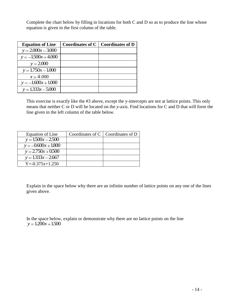Complete the chart below by filling in locations for both C and D so as to produce the line whose equation is given in the first column of the table.

| <b>Equation of Line</b> | <b>Coordinates of C</b> | <b>Coordinates of D</b> |
|-------------------------|-------------------------|-------------------------|
| $y = 2.000x - 3.000$    |                         |                         |
| $y = -1500x + 4.000$    |                         |                         |
| $y = 2.000$             |                         |                         |
| $y = 1.750x - 1.000$    |                         |                         |
| $x = 4.000$             |                         |                         |
| $y = -1.600x + 1.000$   |                         |                         |
| $y = 1.333x - 5.000$    |                         |                         |

This exercise is exactly like the #3 above, except the y-intercepts are not at lattice points. This only means that neither C or D will be located on the *y*-axis. Find locations for C and D that will form the line given in the left column of the table below.

| Equation of Line      | Coordinates of $C \mid$ Coordinates of D |
|-----------------------|------------------------------------------|
| $y = 1.500x - 2.500$  |                                          |
| $y = -0.600x + 1.800$ |                                          |
| $y = 2.750x + 0.500$  |                                          |
| $y = 1.333x - 2.667$  |                                          |
| $Y = -0.375x + 1.250$ |                                          |

Explain in the space below why there are an infinite number of lattice points on any one of the lines given above.

In the space below, explain or demonstrate why there are no lattice points on the line  $y = 1.200x + 1.500$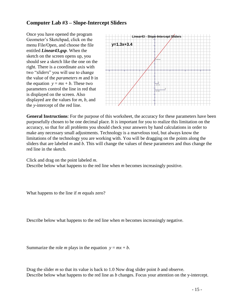# **Computer Lab #3 – Slope-Intercept Sliders**

Once you have opened the program Geometer's Sketchpad, click on the menu File/Open, and choose the file entitled *Linear43.gsp*. When the sketch on the screen opens up, you should see a sketch like the one on the right. There is a coordinate axis with two "*sliders*" you will use to change the value of the *parameters m* and *b* in the equation  $y = mx + b$ . These two parameters control the line in red that is displayed on the screen. Also displayed are the values for *m*, *b*, and the *y*-intercept of the red line.



**General Instructions**: For the purpose of this worksheet, the accuracy for these parameters have been purposefully chosen to be one decimal place. It is important for you to realize this limitation on the accuracy, so that for all problems you should check your answers by hand calculations in order to make any necessary small adjustments. Technology is a marvelous tool, but always know the limitations of the technology you are working with. You will be dragging on the points along the sliders that are labeled *m* and *b*. This will change the values of these parameters and thus change the red line in the sketch.

Click and drag on the point labeled *m*.

Describe below what happens to the red line when *m* becomes increasingly positive.

What happens to the line if *m* equals zero?

Describe below what happens to the red line when *m* becomes increasingly negative.

Summarize the role *m* plays in the equation  $y = mx + b$ .

Drag the slider *m* so that its value is back to 1.0 Now drag slider point *b* and observe. Describe below what happens to the red line as *b* changes. Focus your attention on the y-intercept.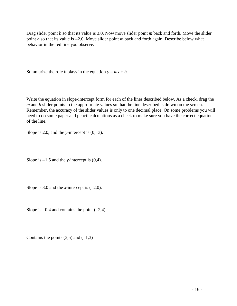Drag slider point *b* so that its value is 3.0. Now move slider point *m* back and forth. Move the slider point *b* so that its value is 2.0. Move slider point *m* back and forth again. Describe below what behavior in the red line you observe.

Summarize the role *b* plays in the equation  $y = mx + b$ .

Write the equation in slope-intercept form for each of the lines described below. As a check, drag the *m* and *b* slider points to the appropriate values so that the line described is drawn on the screen. Remember, the accuracy of the slider values is only to one decimal place. On some problems you will need to do some paper and pencil calculations as a check to make sure you have the correct equation of the line.

Slope is 2.0, and the *y*-intercept is  $(0,-3)$ .

Slope is  $-1.5$  and the *y*-intercept is  $(0,4)$ .

Slope is 3.0 and the *x*-intercept is  $(-2,0)$ .

Slope is  $-0.4$  and contains the point  $(-2,4)$ .

Contains the points  $(3,5)$  and  $(-1,3)$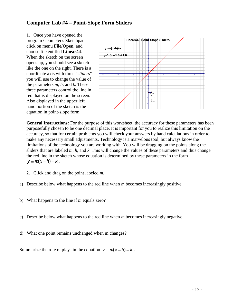### **Computer Lab #4 – Point-Slope Form Sliders**

1. Once you have opened the program Geometer's Sketchpad, click on menu **File/Open**, and choose file entitled **Linear44**. When the sketch on the screen opens up, you should see a sketch like the one on the right. There is a coordinate axis with three "*sliders*" you will use to change the value of the parameters *m*, *h*, and *k*. These three parameters control the line in red that is displayed on the screen. Also displayed in the upper left hand portion of the sketch is the equation in point-slope form.



**General Instructions:** For the purpose of this worksheet, the accuracy for these parameters has been purposefully chosen to be one decimal place. It is important for you to realize this limitation on the accuracy, so that for certain problems you will check your answers by hand calculations in order to make any necessary small adjustments. Technology is a marvelous tool, but always know the limitations of the technology you are working with. You will be dragging on the points along the sliders that are labeled *m*, *h*, and *k*. This will change the values of these parameters and thus change the red line in the sketch whose equation is determined by these parameters in the form  $y = m(x - h) + k$ .

- 2. Click and drag on the point labeled *m*.
- a) Describe below what happens to the red line when *m* becomes increasingly positive.
- b) What happens to the line if *m* equals zero?
- c) Describe below what happens to the red line when *m* becomes increasingly negative.
- d) What one point remains unchanged when m changes?

Summarize the role m plays in the equation  $y = m(x-h) + k$ .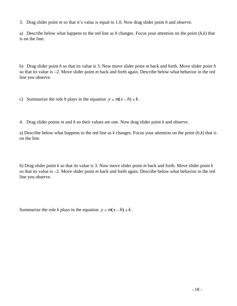3. Drag slider point *m* so that it's value is equal to 1.0. Now drag slider point *h* and observe.

a) Describe below what happens to the red line as *h* changes. Focus your attention on the point (*h,k*) that is on the line.

b) Drag slider point *h* so that its value is 3. Now move slider point *m* back and forth. Move slider point *h*  so that its value is 2. Move slider point *m* back and forth again. Describe below what behavior in the red line you observe.

c) Summarize the role *h* plays in the equation  $y = m(x-h) + k$ .

4. Drag slider points *m* and *h* so their values are one. Now drag slider point *k* and observe.

a) Describe below what happens to the red line as *k* changes. Focus your attention on the point (*h,k*) that is on the line.

b) Drag slider point *k* so that its value is 3. Now move slider point *m* back and forth. Move slider point *k*  so that its value is 2. Move slider point *m* back and forth again. Describe below what behavior in the red line you observe.

Summarize the role *k* plays in the equation  $y = m(x-h) + k$ .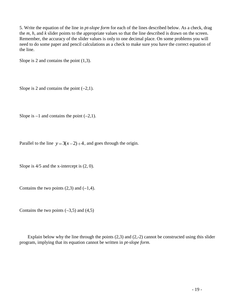5. Write the equation of the line in *pt-slope form* for each of the lines described below. As a check, drag the *m*, *h*, and *k* slider points to the appropriate values so that the line described is drawn on the screen. Remember, the accuracy of the slider values is only to one decimal place. On some problems you will need to do some paper and pencil calculations as a check to make sure you have the correct equation of the line.

Slope is 2 and contains the point (1,3).

Slope is 2 and contains the point  $(-2,1)$ .

Slope is  $-1$  and contains the point  $(-2,1)$ .

Parallel to the line  $y = 3(x-2)+4$ , and goes through the origin.

Slope is  $4/5$  and the x-intercept is  $(2, 0)$ .

Contains the two points  $(2,3)$  and  $(-1,4)$ .

Contains the two points  $(-3,5)$  and  $(4,5)$ 

Explain below why the line through the points (2,3) and (2,-2) cannot be constructed using this slider program, implying that its equation cannot be written in *pt-slope form.*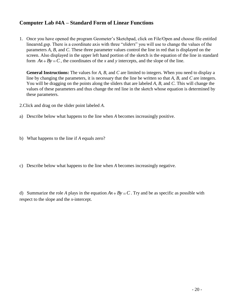# **Computer Lab #4A – Standard Form of Linear Functions**

1. Once you have opened the program Geometer's Sketchpad, click on File/Open and choose file entitled linearstd.gsp. There is a coordinate axis with three "*sliders*" you will use to change the values of the parameters *A*, *B*, and *C*. These three parameter values control the line in red that is displayed on the screen. Also displayed in the upper left hand portion of the sketch is the equation of the line in standard form  $Ax + By = C$ , the coordinates of the *x* and *y* intercepts, and the slope of the line.

**General Instructions:** The values for *A*, *B*, and *C* are limited to integers. When you need to display a line by changing the parameters, it is necessary that the line be written so that *A*, *B*, and *C* are integers. You will be dragging on the points along the sliders that are labeled *A*, *B*, and *C*. This will change the values of these parameters and thus change the red line in the sketch whose equation is determined by these parameters.

2.Click and drag on the slider point labeled *A*.

- a) Describe below what happens to the line when *A* becomes increasingly positive.
- b) What happens to the line if *A* equals zero?
- c) Describe below what happens to the line when *A* becomes increasingly negative.

d) Summarize the role A plays in the equation  $Ax + By = C$ . Try and be as specific as possible with respect to the slope and the *x*-intercept.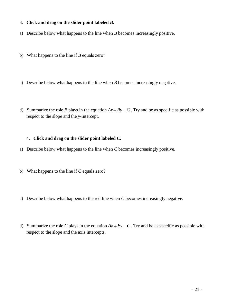#### 3. **Click and drag on the slider point labeled** *B***.**

- a) Describe below what happens to the line when *B* becomes increasingly positive.
- b) What happens to the line if *B* equals zero?
- c) Describe below what happens to the line when *B* becomes increasingly negative.
- d) Summarize the role *B* plays in the equation  $Ax + By = C$ . Try and be as specific as possible with respect to the slope and the *y*-intercept.

#### 4. **Click and drag on the slider point labeled** *C***.**

- a) Describe below what happens to the line when *C* becomes increasingly positive.
- b) What happens to the line if *C* equals zero?
- c) Describe below what happens to the red line when *C* becomes increasingly negative.
- d) Summarize the role C plays in the equation  $Ax + By = C$ . Try and be as specific as possible with respect to the slope and the axis intercepts*.*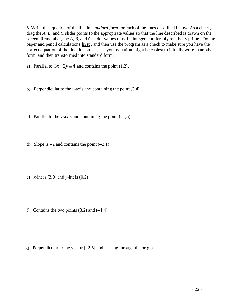5. Write the equation of the line in *standard form* for each of the lines described below. As a check, drag the *A*, *B*, and *C* slider points to the appropriate values so that the line described is drawn on the screen. Remember, the *A*, *B*, and *C* slider values must be integers, preferably relatively prime. Do the paper and pencil calculations **first** , and then use the program as a check to make sure you have the correct equation of the line. In some cases, your equation might be easiest to initially write in another form, and then transformed into standard form.

- a) Parallel to  $3x+2y=4$  and contains the point (1,2).
- b) Perpendicular to the *y*-axis and containing the point (3,4).
- c) Parallel to the *y*-axis and containing the point  $(-1,5)$ .
- d) Slope is  $-2$  and contains the point  $(-2,1)$ .
- e) *x*-int is (3,0) and *y*-int is (0,2)
- f) Contains the two points  $(3,2)$  and  $(-1,4)$ .

g) Perpendicular to the vector  $[-2,5]$  and passing through the origin.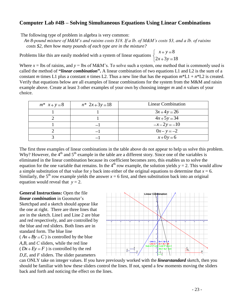### **Computer Lab #4B – Solving Simultaneous Equations Using Linear Combinations**

The following type of problem in algebra is very common:

 *An 8-pound mixture of M&M's and raisins costs \$18. If a lb. of M&M's costs \$3, and a lb. of raisins costs \$2, then how many pounds of each type are in the mixture?*

Problems like this are easily modeled with a system of linear equations

8  $2x + 3y = 18$  $x + y$  $x + 3y$ 

Where  $x =$  lbs of raisins, and  $y =$  lbs of M&M's. To solve such a system, one method that is commonly used is called the method of **"***linear combination***".** A linear combination of two equations L1 and L2 is the sum of a constant *m* times L1 plus a constant *n* times L2. Thus a new line that has the equation  $m^*L1 + n^*L2$  is created. Verify that equations below are all examples of linear combinations for the system from the M&M and raisin example above. Create at least 3 other examples of your own by choosing integer *m* and *n* values of your choice.

| $m^*$ $x + y = 8$ | $n^* 2x + 3y = 18$ | <b>Linear Combination</b> |
|-------------------|--------------------|---------------------------|
|                   |                    | $3x+4y=26$                |
|                   |                    | $4x+5y=34$                |
|                   |                    | $-x-2y = -10$             |
|                   |                    | $0x - y = -2$             |
|                   |                    | $x+0y=6$                  |

The first three examples of linear combinations in the table above do not appear to help us solve this problem. Why? However, the  $4<sup>th</sup>$  and  $5<sup>th</sup>$  example in the table are a different story. Since one of the variables is eliminated in the linear combination because its coefficient becomes zero, this enables us to solve the equation for the one variable that remains. In the 4<sup>th</sup> row example, the solution yields  $y = 2$ . This would allow a simple substitution of that value for *y* back into either of the original equations to determine that  $x = 6$ . Similarly, the 5<sup>th</sup> row example yields the answer  $x = 6$  first, and then substitution back into an original equation would reveal that  $y = 2$ .

**General Instructions:** Open the file *linear combination* in Geometer's Sketchpad and a sketch should appear like the one at right. There are three lines that are in the sketch. Line1 and Line 2 are blue and red respectively, and are controlled by the blue and red sliders. Both lines are in standard form. The blue line  $(Ax+By=C)$  is controlled by the blue *A*,*B*, and *C* sliders, while the red line  $(Dx + Ey = F)$  is controlled by the red *D*,*E*, and *F* sliders. The slider parameters



can ONLY take on integer values. If you have previously worked with the *linearstandard* sketch, then you should be familiar with how these sliders control the lines. If not, spend a few moments moving the sliders back and forth and noticing the effect on the lines.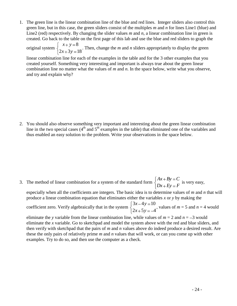1. The green line is the linear combination line of the blue and red lines. Integer sliders also control this green line, but in this case, the green sliders consist of the multiples *m* and *n* for lines Line1 (blue) and Line2 (red) respectively. By changing the slider values *m* and *n*, a linear combination line in green is created. Go back to the table on the first page of this lab and use the blue and red sliders to graph the

original system 8  $2x + 3y = 18$  $x + y$  $x + 3y$ . Then, change the *m* and *n* sliders appropriately to display the green

linear combination line for each of the examples in the table and for the 3 other examples that you created yourself. Something very interesting and important is always true about the green linear combination line no matter what the values of *m* and *n*. In the space below, write what you observe, and try and explain why?

2. You should also observe something very important and interesting about the green linear combination line in the two special cases  $(4<sup>th</sup>$  and  $5<sup>th</sup>$  examples in the table) that eliminated one of the variables and thus enabled an easy solution to the problem. Write your observations in the space below.

3. The method of linear combination for a system of the standard form  $Ax + By = C$  $Dx + Ey = F$ is very easy,

especially when all the coefficients are integers. The basic idea is to determine values of *m* and *n* that will produce a linear combination equation that eliminates either the variables *x* or *y* by making the

coefficient zero. Verify algebraically that in the system  $3x - 4y = 10$  $2x+5y = -4$  $x - 4y$  $x + 5y$ , values of  $m = 5$  and  $n = 4$  would

eliminate the *y* variable from the linear combination line, while values of  $m = 2$  and  $n = -3$  would eliminate the *x* variable. Go to sketchpad and model the system above with the red and blue sliders, and then verify with sketchpad that the pairs of *m* and *n* values above do indeed produce a desired result. Are these the only pairs of relatively prime *m* and *n* values that will work, or can you come up with other examples. Try to do so, and then use the computer as a check.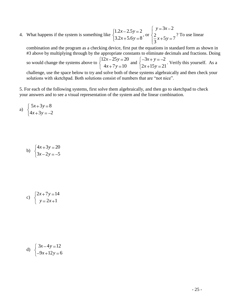4. What happens if the system is something like  $1.2x - 2.5y = 2$  $3.2x + 5.6y = 8$  $x - 2.5y$  $x+5.6y=8$ , or  $3x - 2$  $\frac{2}{3}x+5y=7$ 3  $y = 3x$  $x + 5y$ ? To use linear

combination and the program as a checking device, first put the equations in standard form as shown in #3 above by multiplying through by the appropriate constants to eliminate decimals and fractions. Doing so would change the systems above to  $12x - 25y = 20$  $4x + 7y = 10$  $x - 25y$  $x+7y=10$  and  $3x + y = -2$  $2x+15y=21$  $x + y$  $x + 15y$ . Verify this yourself. As a challenge, use the space below to try and solve both of these systems algebraically and then check your

solutions with sketchpad. Both solutions consist of numbers that are "not nice".

5. For each of the following systems, first solve them algebraically, and then go to sketchpad to check your answers and to see a visual representation of the system and the linear combination.

a) 
$$
\begin{cases} 5x+3y=8\\ 4x+3y=-2 \end{cases}
$$

$$
\text{b)} \quad \begin{cases} 4x + 3y = 20 \\ 3x - 2y = -5 \end{cases}
$$

$$
c) \quad \begin{cases} 2x + 7y = 14 \\ y = 2x + 1 \end{cases}
$$

d) 
$$
\begin{cases} 3x - 4y = 12 \\ -9x + 12y = 6 \end{cases}
$$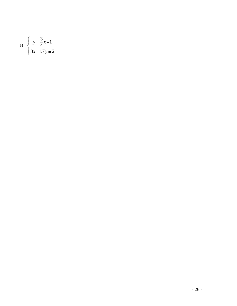e) 
$$
\begin{cases} y = \frac{3}{4}x - 1 \\ .3x + 1.7y = 2 \end{cases}
$$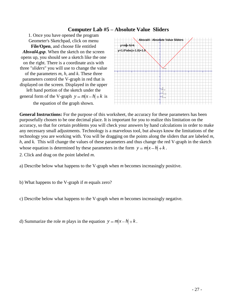### **Computer Lab #5 – Absolute Value Sliders**

1. Once you have opened the program Geometer's Sketchpad, click on menu **File/Open**, and choose file entitled *Absval4.gsp*. When the sketch on the screen opens up, you should see a sketch like the one on the right. There is a coordinate axis with three "*sliders*" you will use to change the value of the parameters *m*, *h*, and *k*. These three parameters control the V-graph in red that is displayed on the screen. Displayed in the upper left hand portion of the sketch under the general form of the V-graph  $y = m|x-h|+k$  is the equation of the graph shown*.*



**General Instructions:** For the purpose of this worksheet, the accuracy for these parameters has been purposefully chosen to be one decimal place. It is important for you to realize this limitation on the accuracy, so that for certain problems you will check your answers by hand calculations in order to make any necessary small adjustments. Technology is a marvelous tool, but always know the limitations of the technology you are working with. You will be dragging on the points along the sliders that are labeled *m*, *h*, and *k.* This will change the values of these parameters and thus change the red V-graph in the sketch whose equation is determined by these parameters in the form  $y = m|x - h| + k$ .

2. Click and drag on the point labeled *m*.

- a) Describe below what happens to the V-graph when *m* becomes increasingly positive.
- b) What happens to the V-graph if *m* equals zero?

c) Describe below what happens to the V-graph when *m* becomes increasingly negative.

d) Summarize the role *m* plays in the equation  $y = m|x - h| + k$ .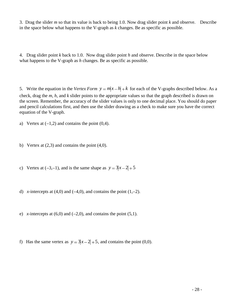3. Drag the slider *m* so that its value is back to being 1.0. Now drag slider point *k* and observe. Describe in the space below what happens to the V-graph as *k* changes. Be as specific as possible.

4. Drag slider point *k* back to 1.0. Now drag slider point *h* and observe. Describe in the space below what happens to the V-graph as *h* changes. Be as specific as possible.

5. Write the equation in the *Vertex Form*  $y = m|x - h| + k$  for each of the V-graphs described below. As a check, drag the *m*, *h*, and *k* slider points to the appropriate values so that the graph described is drawn on the screen. Remember, the accuracy of the slider values is only to one decimal place. You should do paper and pencil calculations first, and then use the slider drawing as a check to make sure you have the correct equation of the V-graph.

a) Vertex at  $(-1,2)$  and contains the point  $(0,4)$ .

- b) Vertex at  $(2,3)$  and contains the point  $(4,0)$ .
- c) Vertex at  $(-3,-1)$ , and is the same shape as  $y = 3|x-2|+5$
- d) *x*-intercepts at  $(4,0)$  and  $(-4,0)$ , and contains the point  $(1,-2)$ .
- e) *x*-intercepts at  $(6,0)$  and  $(-2,0)$ , and contains the point  $(5,1)$ .
- f) Has the same vertex as  $y = 3|x-2|+5$ , and contains the point (0,0).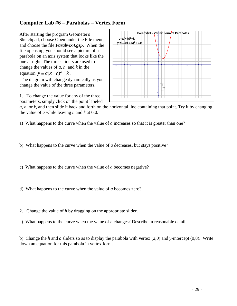# **Computer Lab #6 – Parabolas – Vertex Form**

After starting the program Geometer's Sketchpad, choose Open under the File menu, and choose the file *Parabvtx4***.***gsp*. When the file opens up, you should see a picture of a parabola on an axis system that looks like the one at right. The three sliders are used to change the values of *a*, *h*, and *k* in the equation  $y = a(x-h)^2 + k$ .

The diagram will change dynamically as you change the value of the three parameters.

1. To change the value for any of the three parameters, simply click on the point labeled

*a*, *h*, or *k*, and then slide it back and forth on the horizontal line containing that point. Try it by changing the value of *a* while leaving *h* and *k* at 0.0.

a) What happens to the curve when the value of *a* increases so that it is greater than one?

b) What happens to the curve when the value of *a* decreases, but stays positive?

c) What happens to the curve when the value of *a* becomes negative?

d) What happens to the curve when the value of *a* becomes zero?

- 2. Change the value of *h* by dragging on the appropriate slider.
- a) What happens to the curve when the value of *h* changes? Describe in reasonable detail.

b) Change the *h* and *a* sliders so as to display the parabola with vertex (2,0) and *y*-intercept (0,8). Write down an equation for this parabola in vertex form.

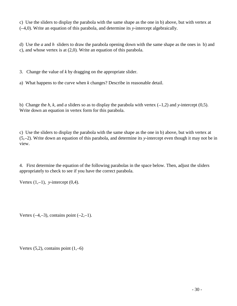c) Use the sliders to display the parabola with the same shape as the one in b) above, but with vertex at ( 4,0). Write an equation of this parabola, and determine its *y*-intercept algebraically.

d) Use the *a* and *h* sliders to draw the parabola opening down with the same shape as the ones in b) and c), and whose vertex is at (2,0). Write an equation of this parabola.

3. Change the value of *k* by dragging on the appropriate slider.

a) What happens to the curve when *k* changes? Describe in reasonable detail.

b) Change the *h, k,* and *a* sliders so as to display the parabola with vertex  $(-1,2)$  and *y*-intercept  $(0,5)$ . Write down an equation in vertex form for this parabola.

c) Use the sliders to display the parabola with the same shape as the one in b) above, but with vertex at (5, 2). Write down an equation of this parabola, and determine its *y*-intercept even though it may not be in view.

4. First determine the equation of the following parabolas in the space below. Then, adjust the sliders appropriately to check to see if you have the correct parabola.

Vertex  $(1,-1)$ , *y*-intercept  $(0,4)$ .

Vertex  $(-4,-3)$ , contains point  $(-2,-1)$ .

Vertex  $(5,2)$ , contains point  $(1,-6)$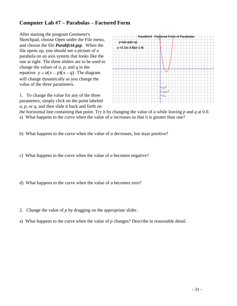# **Computer Lab #7 – Parabolas – Factored Form**

After starting the program Geometer's Sketchpad, choose Open under the File menu, and choose the file *Parabfct4***.***gsp*. When the file opens up, you should see a picture of a parabola on an axis system that looks like the one at right. The three sliders are to be used to change the values of *a*, *p*, and *q* in the equation  $y = a(x - p)(x - q)$ . The diagram will change dynamically as you change the value of the three parameters.

1. To change the value for any of the three parameters, simply click on the point labeled *a*, *p*, or *q*, and then slide it back and forth on



the horizontal line containing that point. Try it by changing the value of *a* while leaving *p* and *q* at 0.0.

a) What happens to the curve when the value of *a* increases so that it is greater than one?

b) What happens to the curve when the value of *a* decreases, but stays positive?

c) What happens to the curve when the value of *a* becomes negative?

d) What happens to the curve when the value of *a* becomes zero?

- 2. Change the value of *p* by dragging on the appropriate slider.
- a) What happens to the curve when the value of *p* changes? Describe in reasonable detail.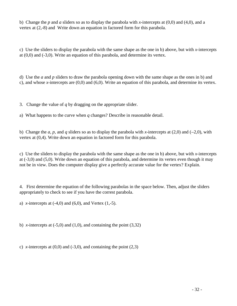b) Change the *p* and *a* sliders so as to display the parabola with *x*-intercepts at (0,0) and (4,0), and a vertex at (2,-8) and Write down an equation in factored form for this parabola.

c) Use the sliders to display the parabola with the same shape as the one in b) above, but with *x*-intercepts at  $(0,0)$  and  $(-3,0)$ . Write an equation of this parabola, and determine its vertex.

d) Use the *a* and *p* sliders to draw the parabola opening down with the same shape as the ones in b) and c), and whose *x*-intercepts are (0,0) and (6,0). Write an equation of this parabola, and determine its vertex.

3. Change the value of *q* by dragging on the appropriate slider.

a) What happens to the curve when *q* changes? Describe in reasonable detail.

b) Change the *a, p,* and *q* sliders so as to display the parabola with *x*-intercepts at (2,0) and (-2,0), with vertex at (0,4). Write down an equation in factored form for this parabola.

c) Use the sliders to display the parabola with the same shape as the one in b) above, but with *x*-intercepts at (-3,0) and (5,0). Write down an equation of this parabola, and determine its vertex even though it may not be in view. Does the computer display give a perfectly accurate value for the vertex? Explain.

4. First determine the equation of the following parabolas in the space below. Then, adjust the sliders appropriately to check to see if you have the correst parabola.

a) *x*-intercepts at  $(-4,0)$  and  $(6,0)$ , and Vertex  $(1,-5)$ .

b) *x*-intercepts at  $(-5,0)$  and  $(1,0)$ , and containing the point  $(3,32)$ 

c) *x*-intercepts at  $(0,0)$  and  $(-3,0)$ , and containing the point  $(2,3)$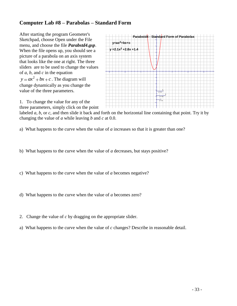# **Computer Lab #8 – Parabolas – Standard Form**

After starting the program Geometer's Sketchpad, choose Open under the File menu, and choose the file *Parabstd4***.***gsp*. When the file opens up, you should see a picture of a parabola on an axis system that looks like the one at right. The three sliders are to be used to change the values of *a*, *b*, and *c* in the equation  $y = ax^2 + bx + c$ . The diagram will change dynamically as you change the value of the three parameters.



1. To change the value for any of the three parameters, simply click on the point

labeled *a*, *b*, or *c*, and then slide it back and forth on the horizontal line containing that point. Try it by changing the value of *a* while leaving *b* and *c* at 0.0.

- b) What happens to the curve when the value of *a* decreases, but stays positive?
- c) What happens to the curve when the value of *a* becomes negative?
- d) What happens to the curve when the value of *a* becomes zero?
- 2. Change the value of *c* by dragging on the appropriate slider.
- a) What happens to the curve when the value of *c* changes? Describe in reasonable detail.

a) What happens to the curve when the value of *a* increases so that it is greater than one?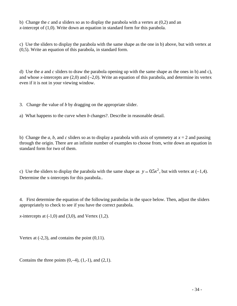b) Change the *c* and *a* sliders so as to display the parabola with a vertex at (0,2) and an *x*-intercept of (1,0). Write down an equation in standard form for this parabola.

c) Use the sliders to display the parabola with the same shape as the one in b) above, but with vertex at (0,5). Write an equation of this parabola, in standard form.

d) Use the *a* and *c* sliders to draw the parabola opening up with the same shape as the ones in b) and c), and whose *x*-intercepts are  $(2,0)$  and  $(-2,0)$ . Write an equation of this parabola, and determine its vertex even if it is not in your viewing window.

3. Change the value of *b* by dragging on the appropriate slider.

a) What happens to the curve when *b* changes?. Describe in reasonable detail.

b) Change the *a, b,* and *c* sliders so as to display a parabola with axis of symmetry at  $x = 2$  and passing through the origin. There are an infinite number of examples to choose from, write down an equation in standard form for two of them.

c) Use the sliders to display the parabola with the same shape as  $y = 0.5x^2$ , but with vertex at (-1,4). Determine the x-intercepts for this parabola..

4. First determine the equation of the following parabolas in the space below. Then, adjust the sliders appropriately to check to see if you have the correct parabola.

*x*-intercepts at  $(-1,0)$  and  $(3,0)$ , and Vertex  $(1,2)$ .

Vertex at  $(-2,3)$ , and contains the point  $(0,11)$ .

Contains the three points  $(0,-4)$ ,  $(1,-1)$ , and  $(2,1)$ .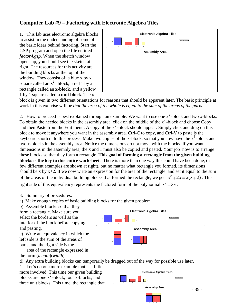# **Computer Lab #9 – Factoring with Electronic Algebra Tiles**

1. This lab uses electronic algebra blocks to assist in the understanding of some of the basic ideas behind factoring. Start the GSP program and open the file entitled *factor4.gsp*. When the sketch window opens up, you should see the sketch at right. The resources for this activity are the building blocks at the top of the window. They consist of: a blue x by x square called an  $x^2$  **–block**, a red 1 by x rectangle called an **x-block**, and a yellow 1 by 1 square called **a unit block**. The x-

| <b>Electronic Algebra Tiles</b>                                                                                       |  |
|-----------------------------------------------------------------------------------------------------------------------|--|
| Show half unit tile<br>$\mathbf{x}$<br>$\mathbf x$<br>$\mathbf{1}$<br>1<br>$\mathbf{1}$<br>$\mathsf x$<br>$\mathsf x$ |  |
| <b>Assembly Area</b>                                                                                                  |  |
|                                                                                                                       |  |
|                                                                                                                       |  |
|                                                                                                                       |  |
|                                                                                                                       |  |
|                                                                                                                       |  |

block is given in two different orientations for reasons that should be apparent later. The basic principle at work in this exercise will be *that the area of the whole is equal to the sum of the areas of the parts*.

2. How to proceed is best explained through an example. We want to use one  $x^2$ -block and two x-blocks. To obtain the needed blocks in the assembly area, click on the middle of the  $x^2$ -block and choose Copy and then Paste from the Edit menu. A copy of the  $x^2$ -block should appear. Simply click and drag on this block to move it anywhere you want in the assembly area. Ctrl-C to copy, and Ctrl-V to paste is the keyboard shortcut to this process. Make two copies of the x-block, so that you now have the  $x^2$ -block and two x-blocks in the assembly area. Notice the dimensions do not move with the blocks. If you want dimensions in the assembly area, the x and 1 must also be copied and pasted. Your job now is to arrange these blocks so that they form a rectangle. **This goal of forming a rectangle from the given building blocks is the key to this entire worksheet**. There is more than one way this could have been done, (a few different examples are shown at right), but no matter what rectangle you formed, its dimensions should be x by  $x+2$ . If we now write an expression for the area of the rectangle and set it equal to the sum of the areas of the individual building blocks that formed the rectangle, we get  $x^2 + 2x = x(x+2)$ . This right side of this equivalency represents the factored form of the polynomial  $x^2 + 2x$ .

3. Summary of procedures.

a) Make enough copies of basic building blocks for the given problem.

b) Assemble blocks so that they form a rectangle. Make sure you select the borders as well as the interior of the block before copying and pasting.

c) Write an equivalency in which the left side is the sum of the areas of parts, and the right side is the

 area of the rectangle expressed in the form (*length*)(*width*).



 $\Box$ 

**Electronic Algebra Tiles**

Show half unit tile

d) Any extra building blocks can temporarily be dragged out of the way for possible use later.

 $x \sim x$ 

4. Let's do one more example that is a little more involved. This time our given building blocks are one  $x^2$ -block, four x-blocks, and three unit blocks. This time, the rectangle that



1 1 1

x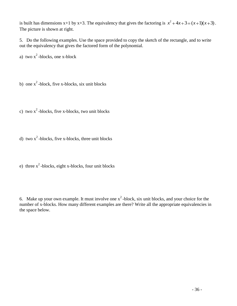is built has dimensions  $x+1$  by  $x+3$ . The equivalency that gives the factoring is  $x^2 + 4x + 3 = (x+1)(x+3)$ . The picture is shown at right.

5. Do the following examples. Use the space provided to copy the sketch of the rectangle, and to write out the equivalency that gives the factored form of the polynomial.

a) two  $x^2$ -blocks, one x-block

b) one  $x^2$ -block, five x-blocks, six unit blocks

c) two  $x^2$ -blocks, five x-blocks, two unit blocks

d) two  $x^2$ -blocks, five x-blocks, three unit blocks

e) three  $x^2$ -blocks, eight x-blocks, four unit blocks

6. Make up your own example. It must involve one  $x^2$ -block, six unit blocks, and your choice for the number of x-blocks. How many different examples are there? Write all the appropriate equivalencies in the space below.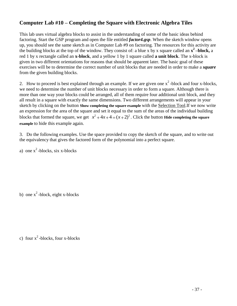# **Computer Lab #10 – Completing the Square with Electronic Algebra Tiles**

This lab uses virtual algebra blocks to assist in the understanding of some of the basic ideas behind factoring. Start the GSP program and open the file entitled *factor4.gsp*. When the sketch window opens up, you should see the same sketch as in Computer Lab #9 on factoring. The resources for this activity are the building blocks at the top of the window. They consist of: a blue x by x square called an  $x^2$ -block, a red 1 by x rectangle called an **x-block**, and a yellow 1 by 1 square called **a unit block**. The x-block is given in two different orientations for reasons that should be apparent later. The basic goal of these exercises will be to determine the correct number of unit blocks that are needed in order to make a *square* from the given building blocks.

2. How to proceed is best explained through an example. If we are given one  $x^2$ -block and four x-blocks, we need to determine the number of unit blocks necessary in order to form a square. Although there is more than one way your blocks could be arranged, all of them require four additional unit block, and they all result in a square with exactly the same dimensions. Two different arrangements will appear in your sketch by clicking on the button **Show completing the square example** with the Selection Tool.If we now write an expression for the area of the square and set it equal to the sum of the areas of the individual building blocks that formed the square, we get  $x^2 + 4x + 4 = (x+2)^2$ . Click the button **Hide completing the square example** to hide this example again.

3. Do the following examples. Use the space provided to copy the sketch of the square, and to write out the equivalency that gives the factored form of the polynomial into a perfect square.

a) one  $x^2$ -blocks, six x-blocks

b) one  $x^2$ -block, eight x-blocks

c) four  $x^2$ -blocks, four x-blocks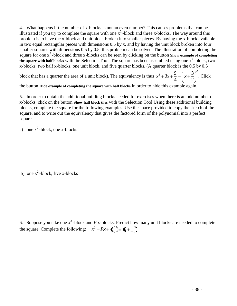4. What happens if the number of x-blocks is not an even number? This causes problems that can be illustrated if you try to complete the square with one  $x^2$ -block and three x-blocks. The way around this problem is to have the x-block and unit block broken into smaller pieces. By having the x-block available in two equal rectangular pieces with dimensions 0.5 by x, and by having the unit block broken into four smaller squares with dimensions 0.5 by 0.5, this problem can be solved. The illustration of completing the square for one x<sup>2</sup>-block and three x-blocks can be seen by clicking on the button **Show example of completing** the square with half blocks with the <u>Selection Tool</u>. The square has been assembled using one x<sup>2</sup>-block, two x-blocks, two half x-blocks, one unit block, and five quarter blocks. (A quarter block is the 0.5 by 0.5

block that has a quarter the area of a unit block). The equivalency is thus 2 2 2 3 4  $x^2+3x+\frac{9}{4}=\left(x+\frac{3}{2}\right)^2$ . Click

the button **Hide example of completing the square with half blocks** in order to hide this example again.

5. In order to obtain the additional building blocks needed for exercises when there is an odd number of x-blocks, click on the button **Show half block tiles** with the Selection Tool.Using these additional building blocks, complete the square for the following examples. Use the space provided to copy the sketch of the square, and to write out the equivalency that gives the factored form of the polynomial into a perfect square.

a) one  $x^2$ -block, one x-blocks

b) one  $x^2$ -block, five x-blocks

6. Suppose you take one  $x^2$ -block and  $P$  x-blocks. Predict how many unit blocks are needed to complete the square. Complete the following:  $x^2 + Px + \mathbf{C}^3 = \mathbf{C} + \frac{1}{x^2}$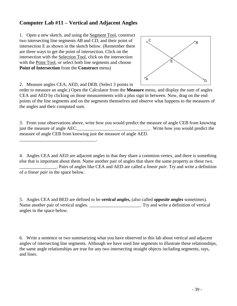# **Computer Lab #11 – Vertical and Adjacent Angles**

1. Open a new sketch, and using the Segment Tool, construct two intersecting line segments *AB* and *CD*, and their point of intersection E as shown in the sketch below. (Remember there are three ways to get the point of intersection. Click on the intersection with the Selection Tool, click on the intersection with the Point Tool, or select both line segments and choose **Point of Intersection** from the **Construct** menu)



2. Measure angles CEA, AED, and DEB. (Select 3 points in

order to measure an angle.) Open the Calculator from the **Measure** menu, and display the sum of angles CEA and AED by clicking on those measurements with a plus sign in between. Now, drag on the end points of the line segments and on the segments themselves and observe what happens to the measures of the angles and their computed sum.

3. From your observations above, write how you would predict the measure of angle CEB from knowing just the measure of angle AEC.\_\_\_\_\_\_\_\_\_\_\_\_\_\_\_\_\_\_\_\_\_\_\_\_\_\_\_\_\_\_\_\_\_. Write how you would predict the measure of angle CEB from knowing just the measure of angle AED.

4. Angles CEA and AED are adjacent angles in that they share a commion vertex, and there is something else that is important about them. Name another pair of angles that share the same property as these two. \_\_\_\_\_\_\_\_\_\_\_\_\_\_\_\_. Pairs of angles like CEA and AED are called a *linear pair*. Try and write a definition

of *a linear pair* in the space below.

\_\_\_\_\_\_\_\_\_\_\_\_\_\_\_\_\_\_\_\_\_\_\_\_\_\_\_\_\_\_\_\_\_.

5. Angles CEA and BED are defined to be *vertical angles***,** (also called *opposite angles* sometimes). Name another pair of vertical angles. \_\_\_\_\_\_\_\_\_\_\_\_\_\_\_\_\_\_\_\_\_\_\_\_. Try and write a definition of vertical angles in the space below.

6. Write a sentence or two summarizing what you have observed in this lab about vertical and adjacent angles of intersecting line segments. Although we have used line segments to illustrate these relationships, the same angle relationships are true for any two intersecting straight objects including segments, rays, and lines.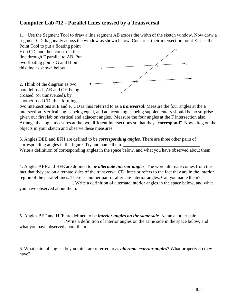### **Computer Lab #12 - Parallel Lines crossed by a Transversal**

1. Use the Segment Tool to draw a line segment AB across the width of the sketch window. Now draw a segment CD diagonally across the window as shown below. Construct their intersection point E. Use the

Point Tool to put a floating point F on CD, and then construct the line through F parallel to AB. Put two floating points G and H on this line as shown below.

2. Think of the diagram as two parallel roads AB and GH being crossed, (or transversed), by another road CD, thus forming

.



two intersections at E and F. CD is thus referred to as a *transversal*. Measure the four angles at the E intersection. Vertical angles being equal, and adjacent angles being supplementary should be no surprise given our first lab on vertical and adjacent angles. Measure the four angles at the F intersection also. Arrange the angle measures at the two different intersections so that they "**correspond**". Now, drag on the objects in your sketch and observe these measures.

3. Angles DEB and EFH are defined to be *corresponding angles.* There are three other pairs of corresponding angles in the figure. Try and name them. Write a definition of corresponding angles in the space below, and what you have observed about them.

4. Angles AEF and HFE are defined to be *alternate interior angles*. The word alternate comes from the fact that they are on alternate sides of the transversal CD. Interior refers to the fact they are in the interior region of the parallel lines. There is another pair of alternate interior angles. Can you name them? \_\_\_\_\_\_\_\_\_\_\_\_\_\_\_\_\_\_\_\_\_\_\_. Write a definition of alternate interior angles in the space below, and what

you have observed about them.

5. Angles BEF and HFE are defined to be *interior angles on the same side.* Name another pair. \_\_\_\_\_\_\_\_\_\_\_\_\_\_\_\_\_\_\_. Write a definition of interior angles on the same side in the space below, and what you have observed about them.

6. What pairs of angles do you think are referred to as *alternate exterior angles*? What property do they have?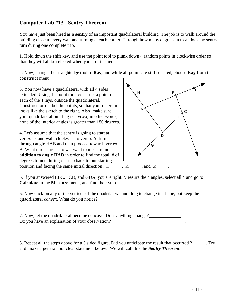# **Computer Lab #13 - Sentry Theorem**

You have just been hired as a **sentry** of an important quadrilateral building. The job is to walk around the building close to every wall and turning at each corner. Through how many degrees in total does the sentry turn during one complete trip.

1. Hold down the shift key, and use the point tool to plunk down 4 random points in clockwise order so that they will all be selected when you are finished.

2. Now, change the straightedge tool to **Ray,** and while all points are still selected, choose **Ray** from the **construct** menu.

3. You now have a quadrilateral with all 4 sides extended. Using the point tool, construct a point on each of the 4 rays, outside the quadrilateral. Construct, or relabel the points, so that your diagram looks like the sketch to the right. Also, make sure your quadrilateral building is *convex*, in other words, none of the interior angles is greater than 180 degrees.

4. Let's assume that the sentry is going to start at vertex D, and walk clockwise to vertex A, turn through angle HAB and then proceed towards vertex B. What three angles do we want to measure **in addition to angle HAB** in order to find the total # of degrees turned during our trip back to our starting position and facing the same initial direction?  $\angle$  \_\_\_\_\_,  $\angle$  \_\_\_\_, and  $\angle$ 



5. If you answered EBC, FCD, and GDA, you are right. Measure the 4 angles, select all 4 and go to **Calculate** in the **Measure** menu, and find their sum.

6. Now click on any of the vertices of the quadrilateral and drag to change its shape, but keep the quadrilateral *convex*. What do you notice?

7. Now, let the quadrilateral become concave. Does anything change? Do you have an explanation of your observation?\_\_\_\_\_\_\_\_\_\_\_\_\_\_\_\_\_\_\_\_\_\_\_\_\_\_\_\_\_\_\_\_\_

8. Repeat all the steps above for a 5 sided figure. Did you anticipate the result that occurred ?\_\_\_\_\_\_. Try and make a general, but clear statement below. We will call this the *Sentry Theorem*.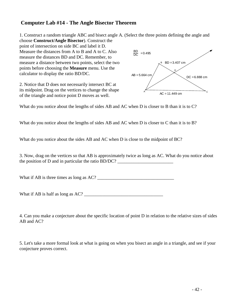### **Computer Lab #14 - The Angle Bisector Theorem**

1. Construct a random triangle ABC and bisect angle A. (Select the three points defining the angle and

choose **Construct/Angle Bisector**). Construct the point of intersection on side BC and label it D. Measure the distances from A to B and A to C. Also measure the distances BD and DC. Remember, to measure a distance between two points, select the two points before choosing the **Measure** menu. Use the calculator to display the ratio BD/DC.

2. Notice that D does not necessarily intersect BC at its midpoint. Drag on the vertices to change the shape of the triangle and notice point D moves as well.



What do you notice about the lengths of sides AB and AC when D is closer to B than it is to C?

What do you notice about the lengths of sides AB and AC when D is closer to C than it is to B?

What do you notice about the sides AB and AC when D is close to the midpoint of BC?

3. Now, drag on the vertices so that AB is approximately twice as long as AC. What do you notice about the position of  $D$  and in particular the ratio  $BD/DC$ ?

What if AB is three times as long as AC? \_\_\_\_\_\_\_\_\_\_\_\_\_\_\_\_\_\_\_\_\_\_\_\_\_\_\_\_\_\_\_\_\_

What if AB is half as long as  $AC?$ 

4. Can you make a conjecture about the specific location of point D in relation to the relative sizes of sides AB and AC?

5. Let's take a more formal look at what is going on when you bisect an angle in a triangle, and see if your conjecture proves correct.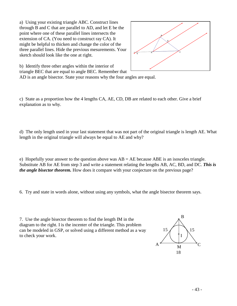a) Using your existing triangle ABC. Construct lines through B and C that are parallel to AD, and let E be the point where one of these parallel lines intersects the extension of CA. (You need to construct ray CA). It might be helpful to thicken and change the color of the three parallel lines. Hide the previous mesurements. Your sketch should look like the one at right.



b) Identify three other angles within the interior of triangle BEC that are equal to angle BEC. Remember that

AD is an angle bisector. State your reasons why the four angles are equal.

c) State as a proportion how the 4 lengths CA, AE, CD, DB are related to each other. Give a brief explanation as to why.

d) The only length used in your last statement that was not part of the original triangle is length AE. What length in the original triangle will always be equal to AE and why?

e) Hopefully your answer to the question above was  $AB = AE$  because  $ABE$  is an isosceles triangle. Substitute AB for AE from step 3 and write a statement relating the lengths AB, AC, BD, and DC. *This is the angle bisector theorem.* How does it compare with your conjecture on the previous page?

6. Try and state in words alone, without using any symbols, what the angle bisector theorem says.

7. Use the angle bisector theorem to find the length IM in the diagram to the right. I is the incenter of the triangle. This problem can be modeled in GSP, or solved using a different method as a way to check your work.

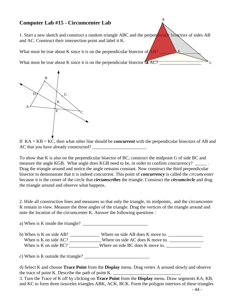# **Computer Lab #15 - Circumcenter Lab**

1. Start a new sketch and construct a random triangle ABC and the perpendicular bisectors of sides AB and AC. Construct their intersection point and label it K.

B

K

 $\overline{C}$ 

What must be true about K since it is on the perpendicular bisector of  $\overline{AB}$ ?

What must be true about K since it is on the perpendicular bisector  $\delta \widehat{A} AC?$ 



If KA = KB = KC, then what other line should be *concurrent* with the perpendicular bisectors of AB and AC that you have already constructed?

To show that K is also on the perpendicular bisector of BC, construct the midpoint G of side BC and measure the angle KGB. What angle does KGB need to be, in order to confirm concurrency? \_\_\_\_\_\_. Drag the triangle around and notice the angle remains constant. Now construct the third perpendicular bisector to demonstrate that it is indeed concurrent. This point of *concurrency* is called the *circumcenter* because it is the center of the circle that *circumscribes* the triangle. Construct the *circumcircle* and drag the triangle around and observe what happens.

2. Hide all construction lines and measures so that only the triangle, its midpoints, and the circumcenter K remain in view. Measure the three angles of the triangle. Drag the vertices of the triangle around and note the location of the circumcenter K. Answer the following questions :

a) When is K inside the triangle? b) When is K on side AB? \_\_\_\_\_\_\_\_\_\_\_\_\_\_ Where on side AB does K move to. \_\_\_\_\_\_\_\_\_\_\_\_\_\_ When is K on side AC? \_\_\_\_\_\_\_\_\_\_\_\_Where on side AC does K move to. \_\_\_\_\_\_\_\_\_\_\_\_\_ When is K on side BC? \_\_\_\_\_\_\_\_\_\_\_Where on side BC does K move to. \_\_\_\_\_\_\_\_\_\_\_\_\_\_

c) When is K outside the triangle? \_\_\_\_\_\_\_\_\_\_\_\_\_\_\_\_\_\_\_\_\_\_\_\_\_\_\_\_

d) Select K and choose **Trace Point** from the **Display** menu. Drag vertex A around slowly and observe the trace of point K. Describe the path of point K.  $\Box$ 

3. Turn the Trace of K off by clicking on **Trace Point** from the **Display** menu. Draw segments KA, KB, and KC to form three isosceles triangles ABK, ACK, BCK. Form the polygon interiors of these triangles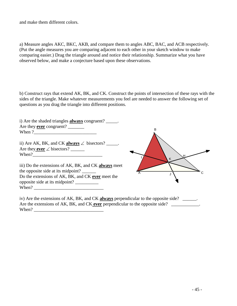and make them different colors.

a) Measure angles AKC, BKC, AKB, and compare them to angles ABC, BAC, and ACB respectively. (Put the angle measures you are comparing adjacent to each other in your sketch window to make comparing easier.) Drag the triangle around and notice their relationship. Summarize what you have observed below, and make a conjecture based upon these observations.

b) Construct rays that extend AK, BK, and CK. Construct the points of intersection of these rays with the sides of the triangle. Make whatever measurements you feel are needed to answer the following set of questions as you drag the triangle into different positions.

| i) Are the shaded triangles <b>always</b> congruent? _____.                         |   |
|-------------------------------------------------------------------------------------|---|
| Are they <b>ever</b> congruent?                                                     |   |
| When ?                                                                              |   |
| ii) Are AK, BK, and CK <b>always</b> $\angle$ bisectors? _____.                     |   |
| Are they <b>ever</b> $\angle$ bisectors?                                            |   |
| When?                                                                               | K |
| iii) Do the extensions of AK, BK, and CK always meet                                |   |
| the opposite side at its midpoint?                                                  |   |
| Do the extensions of AK, BK, and CK ever meet the                                   |   |
| opposite side at its midpoint?                                                      |   |
| When?                                                                               |   |
|                                                                                     |   |
| iv) Are the extensions of AK, BK, and CK always perpendicular to the opposite side? |   |

Are the extensions of AK, BK, and CK **ever** perpendicular to the opposite side?

When?  $\blacksquare$ 

- 45 -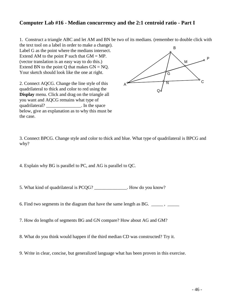## **Computer Lab #16 - Median concurrency and the 2:1 centroid ratio - Part I**

1. Construct a triangle ABC and let AM and BN be two of its medians. (remember to double click with

the text tool on a label in order to make a change). Label G as the point where the medians intersect. Extend AM to the point P such that  $GM = MP$ . (vector translation is an easy way to do this.) Extend BN to the point Q that makes  $GN = NQ$ . Your sketch should look like the one at right.

2. Connect AQCG. Change the line style of this quadrilateral to thick and color to red using the **Display** menu. Click and drag on the triangle all you want and AQCG remains what type of quadrilateral? The space is not in the space below, give an explanation as to why this must be the case.



3. Connect BPCG. Change style and color to thick and blue. What type of quadrilateral is BPCG and why?

4. Explain why BG is parallel to PC, and AG is parallel to QC.

5. What kind of quadrilateral is PCOG? Fig.  $\blacksquare$  How do you know?

6. Find two segments in the diagram that have the same length as BG. \_\_\_\_\_\_ , \_\_\_\_

7. How do lengths of segments BG and GN compare? How about AG and GM?

8. What do you think would happen if the third median CD was constructed? Try it.

9. Write in clear, concise, but generalized language what has been proven in this exercise.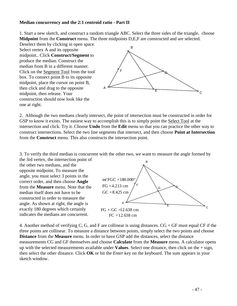#### **Median concurrency and the 2:1 centroid ratio - Part II**

1. Start a new sketch, and construct a random triangle ABC. Select the three sides of the triangle, choose **Midpoint** from the **Construct** menu. The three midpoints D,E,F are constructed and are selected.

Deselect them by clicking in open space. Select vertex A and its opposite midpoint.. Click **Construct/Segment** to produce the median. Construct the median from B in a different manner. Click on the Segment Tool from the tool box. To connect point B to its opposite midpoint, place the cursor on point B, then click and drag to the opposite midpoint, then release. Your construction should now look like the one at right.



2. Although the two medians clearly intersect, the point of intersection must be constructed in order for GSP to know it exists. The easiest way to accomplish this is to simply point the Select Tool at the intersection and click. Try it. Choose **Undo** from the **Edit** menu so that you can practice the other way to construct intersections. Select the two line segments that intersect, and then choose **Point at Intersection** from the **Construct** menu. This also constructs the intersection point.

3. To verify the third median is concurrent with the other two, we want to measure the angle formed by

the 3rd vertex, the intersection point of the other two medians, and the opposite midpoint. To measure the angle, you must select 3 points in the correct order, and then choose **Angle** from the **Measure** menu. Note that the median itself does not have to be constructed in order to measure the angle. As shown at right, the angle is exactly 180 degrees which certainly indicates the medians are concurrent.



4. Another method of verifying C, G, and F are collinear is using distances. CG + GF must equal CF if the three points are collinear. To measure a distance between points, simply select the two points and choose **Distance** from the **Measure** menu. In order to have GSP add the distances, select the distance measurements CG and GF themselves and choose **Calculate** from the **Measure** menu. A calculator opens up with the selected measurements available under **Values**. Select one distance, then click on the + sign, then select the other distance. Click **OK** or hit the *Enter* key on the keyboard. The sum appears in your sketch window.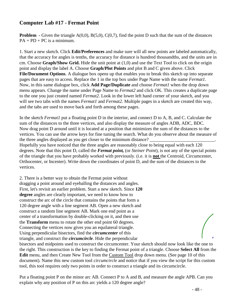### **Computer Lab #17 - Fermat Point**

**Problem** - Given the triangle A(0,0), B(5,0), C(0,7), find the point D such that the sum of the distances  $PA + PD + PC$  is a minimum.

1. Start a new sketch. Click **Edit/Preferences** and make sure will all new points are labeled automatically, that the accuracy for angles is tenths, the accuracy for distance is hundred thousandths, and the units are in cm. Choose **Graph/Show Grid.** Hide the unit point at (1,0) and use the Text Tool to click on the origin point and display the label A. Choose **Graph/Plot Points** and plot B and C given above. Click **File/Document Options**. A dialogue box opens up that enables you to break this sketch up into separate pages that are easy to access. Replace the 1 in the top box under Page Name with the name *Fermat1*. Now, in this same dialogue box, click **Add Page/Duplicate** and choose *Fermat1* when the drop down menu appears. Change the name under Page Name to *Fermat2* and click OK. This creates a duplicate page to the one you just created named *Fermat2*. Look in the lower left hand corner of your sketch, and you will see two tabs with the names *Fermat1* and *Fermat2*. Multiple pages in a sketch are created this way, and the tabs are used to move back and forth among these pages.

In the sketch *Fermat1* put a floating point D in the interior, and connect D to A, B, and C. Calculate the sum of the distances to the three vertices, and also display the measure of angles ADB, ADC, BDC. Now drag point D around until it is located at a position that minimizes the sum of the distances to the vertices. You can use the arrow keys for fine tuning the search. What do you observe about the measure of the three angles displayed as you get closer to the minimum distance?

Hopefully you have noticed that the three angles are reasonably close to being equal with each 120 degrees. Note that this point D, called the *Fermat point,* (or *Steiner Point*), is not any of the special points of the triangle that you have probably worked with previously. (i.e. it is **not** the Centroid, Circumcenter, Orthocenter, or Incenter). Write down the coordinates of point D, and the sum of the distances to the vertices.

2. There is a better way to obtain the Fermat point without dragging a point around and eyeballing the distances and angles. First, let's revisit an earlier problem. Start a new sketch. Since **120 degree** angles are clearly important, we need to know how to construct the arc of the circle that contains the points that form a 120 degree angle with a line segment AB. Open a new sketch and construct a random line segment AB. Mark one end point as a center of a transformation by double-clicking on it, and then use the **Transform** menu to rotate the other end point 60 degrees. Connecting the vertices now gives you an equilateral triangle. Using perpendicular bisectors, find the *circumcenter* of this triangle, and construct the *circumcircle*. Hide the perpendicular

bisectors and midpoints used to construct the circumcenter. Your sketch should now look like the one to the right. This construction is the key to finding the Fermat point of a triangle. Choose **Select All** from the **Edit** menu, and then Create New Tool from the Custom Tool drop down menu. (See page 10 of this document). Name this new custom tool *circumcircle* and notice that if you view the script for this custom tool, this tool requires only two points in order to construct a triangle and its circumcircle.

Put a floating point P on the minor arc AB. Connect P to A and B, and measure the angle APB. Can you explain why any position of P on this arc yields a 120 degree angle?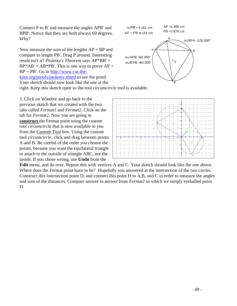Connect P to B' and measure the angles APB' and BPB'. Notice that they are both always 60 degrees. Why?

Now measure the sum of the lengths  $AP + BP$  and compare to length PB'. Drag P around. Interesting result isn't it? *Ptolemy's Theorem* says AP\*BB' +  $BP*AB' = AB*PB'$ . This is one way to prove  $AP +$  $BP = PB'$ . Go to [http://www.cut-the](http://www.cut-the-knot.org/proofs/ptolemy.shtml)[knot.org/proofs/ptolemy.shtml](http://www.cut-the-knot.org/proofs/ptolemy.shtml) to see the proof. Your sketch should now look like the one at the

right. Keep this sketch open so the tool *circumcircle* tool is available.

3. Click on Window and go back to the previous sketch that we created with the two tabs called *Fermat1* and *Fermat2*. Click on the tab for *Fermat2.* Now you are going to **construct** the Fermat point using the custom tool *circumcircle* that is now available to you from the Custom Tool box. Using the custom tool *circumcircle*, click and drag between points A and B. Be careful of the order you choose the points, because you want the equilateral triangle to attach to the outside of triangle ABC, not the inside. If you chose wrong, use **Undo** from the





**Edit** menu, and do over. Repeat this with vertices A and C. Your sketch should look like the one above. Where does the Fermat point have to be? Hopefully you answered at the intersection of the two circles. Construct this intersection point D, and connect this point D to A,B, and C in order to measure the angles and sum of the distances. Compare answer to answer from *Fermat1* in which we simply eyeballed point D.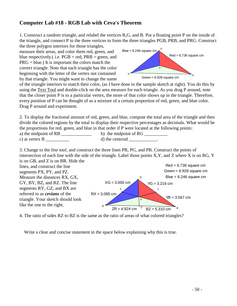# **Computer Lab #18 - RGB Lab with Ceva's Theorem**

1. Construct a random triangle, and relabel the vertices R,G, and B. Put a floating point P on the inside of the triangle, and connect P to the three vertices to form the three triangles PGB, PRB, and PRG. Construct the three polygon interiors for those triangles,

measure their areas, and color them red, green, and blue respectively.( i.e.  $PGB = red$ ,  $PRB = green$ , and  $PRG = blue.$ ) It is important the colors match the correct triangle. Note that each triangle has the color beginning with the letter of the vertex not contained by that triangle. You might want to change the name



of the triangle interiors to match their color, (as I have done in the sample sketch at right). You do this by using the Text Tool and double-click on the area measure for each triangle. As you drag P around, note that the closer point P is to a particular vertex, the more of that color shows up in the triangle. Therefore, every position of P can be thought of as a mixture of a certain proportion of red, green, and blue color. Drag P around and experiment.

2. To display the fractional amount of red, green, and blue, compute the total area of the triangle and then divide the colored regions by the total to display their respective percentages as decimals. What would be the proportions for red, green, and blue in that order if P were located at the following points:

| a) the midpoint of RB | b) the midpoint of RG |
|-----------------------|-----------------------|
| c) at vertex B        | d) the centroid       |

3. Change to the *line tool*, and construct the three lines PR, PG, and PB. Construct the points of intersection of each line with the side of the triangle. Label those points X,Y, and Z where X is on RG, Y



4. The ratio of sides RZ to BZ is the same as the ratio of areas of what colored triangles?

Write a clear and concise statement in the space below explaining why this is true.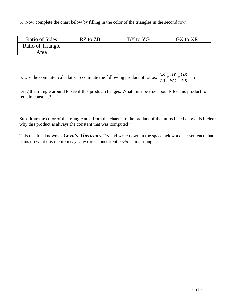5. Now complete the chart below by filling in the color of the triangles in the second row.

| Ratio of Sides    | $RZ$ to $ZB$ | BY to YG | GX to XR |
|-------------------|--------------|----------|----------|
| Ratio of Triangle |              |          |          |
| Area              |              |          |          |

6. Use the computer calculator to compute the following product of ratios.  $\frac{RZ}{Z}$ *ZB BY YG GX XR* \* $\frac{bT}{l}$  \* $\frac{bA}{l}$  = ?

Drag the triangle around to see if this product changes. What must be true about P for this product to remain constant?

Substitute the color of the triangle area from the chart into the product of the ratios listed above. Is it clear why this product is always the constant that was computed?

This result is known as *Ceva's Theorem.* Try and write down in the space below a clear sentence that sums up what this theorem says any three concurrent *cevians* in a triangle.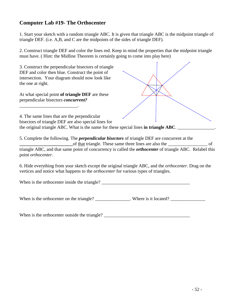## **Computer Lab #19- The Orthocenter**

1. Start your sketch with a random triangle ABC. It is given that triangle ABC is the midpoint triangle of triangle DEF. (i.e. A,B, and C are the midpoints of the sides of triangle DEF).

2. Construct triangle DEF and color the lines red. Keep in mind the properties that the midpoint triangle must have. ( Hint: the Midline Theorem is certainly going to come into play here)

3. Construct the perpendicular bisectors of triangle DEF and color then blue. Construct the point of intersection. Your diagram should now look like the one at right. At what special point **of triangle DEF** are these perpendicular bisectors *concurrent?*  \_\_\_\_\_\_\_\_\_\_\_\_\_\_\_\_\_\_\_\_\_\_\_\_\_. 4. The same lines that are the perpendicular bisectors of triangle DEF are also special lines for the original triangle ABC. What is the name for these special lines **in triangle ABC**. 5. Complete the following. The *perpendicular bisectors* of triangle DEF are concurrent at the **\_\_\_\_\_\_\_\_\_\_\_\_\_\_\_\_\_\_\_\_\_\_\_**of that triangle. These same three lines are also the \_\_\_\_\_\_\_\_\_\_\_\_\_\_\_\_\_ of triangle ABC, and that same point of concurrency is called the *orthocenter* of triangle ABC. Relabel this point *orthocenter.* 6. Hide everything from your sketch except the original triangle ABC, and the *orthocenter*. Drag on the vertices and notice what happens to the *orthocenter* for various types of triangles. When is the orthocenter inside the triangle? \_\_\_\_\_\_\_\_\_\_\_\_\_\_\_\_\_\_\_\_\_\_\_\_\_\_\_\_\_\_\_\_\_\_\_  $\sim$ C  $\sim$   $\sim$   $\sim$ D F

When is the orthocenter on the triangle? \_\_\_\_\_\_\_\_\_\_\_\_\_\_\_. Where is it located? \_\_\_\_\_\_\_\_\_\_\_\_\_\_\_

When is the orthocenter outside the triangle?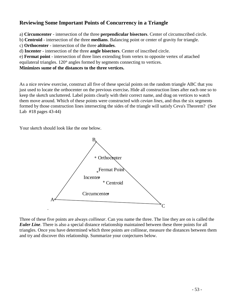# **Reviewing Some Important Points of Concurrency in a Triangle**

a) **Circumcenter** - intersection of the three **perpendicular bisectors**. Center of circumscribed circle.

b) **Centroid** - intersection of the three **medians**. Balancing point or center of gravity for triangle.

c) **Orthocenter** - intersection of the three **altitudes**.

d) **Incenter** - intersection of the three **angle bisectors**. Center of inscribed circle.

e) **Fermat point** - intersection of three lines extending from vertex to opposite vertex of attached equilateral triangles. 120° angles formed by segments connecting to vertices.

**Minimizes sume of the distances to the three vertices.**

As a nice review exercise, construct all five of these special points on the random triangle ABC that you just used to locate the orthocenter on the previous exercise**.** Hide all construction lines after each one so to keep the sketch uncluttered. Label points clearly with their correct name, and drag on vertices to watch them move around. Which of these points were constructed with *cevian lines*, and thus the six segments formed by those construction lines intersecting the sides of the triangle will satisfy Ceva's Theorem? (See Lab #18 pages 43-44)

Your sketch should look like the one below.



Three of these five points are always *collinear*. Can you name the three. The line they are on is called the *Euler Line*. There is also a special distance relationship maintained between these three points for all triangles. Once you have determined which three points are collinear, measure the distances between them and try and discover this relationship. Summarize your conjectures below.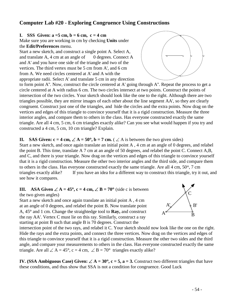# **Computer Lab #20 - Exploring Congruence Using Constructions**

#### **I.** SSS Given:  $a = 5$  cm,  $b = 6$  cm,  $c = 4$  cm

Make sure you are working in cm by checking **Units** under the **Edit/Preferences** menu.

Start a new sketch, and construct a single point A. Select A, and translate A, 4 cm at an angle of 0 degrees. Connect A and A' and you have one side of the triangle and two of the vertices. The third vertex must be 5 cm from A', and 6 cm from A. We need circles centered at A' and A with the appropriate radii. Select A' and translate 5 cm in any direction



to form point A''. Now, construct the circle centered at A' going through A''. Repeat the process to get a circle centered at A with radius 6 cm. The two circles intersect at two points. Construct the points of intersection of the two circles. Your sketch should look like the one to the right. Although there are two triangles possible, they are mirror images of each other about the line segment AA', so they are clearly congruent. Construct just one of the triangles, and hide the circles and the extra points. Now drag on the vertices and edges of this triangle to convince yourself that it is a rigid construction. Measure the three interior angles, and compare them to others in the class. Has everyone constructed exactly the same triangle. Are all 4 cm, 5 cm, 6 cm triangles exactly alike? Can you see what would happen if you try and constructed a 4 cm, 5 cm, 10 cm triangle? Explain.

#### **II.** SAS Given:  $c = 4$  cm,  $\angle A = 50^\circ$ ,  $b = 7$  cm. ( $\angle A$  is between the two given sides)

Start a new sketch, and once again translate an initial point A , 4 cm at an angle of 0 degrees, and relabel the point B. This time, translate A 7 cm at an angle of 50 degrees, and relabel the point C. Connect A,B, and C, and there is your triangle. Now drag on the vertices and edges of this triangle to convince yourself that it is a rigid construction. Measure the other two interior angles and the third side, and compare them to others in the class. Has everyone constructed exactly the same triangle. Are all  $4 \text{ cm}$ ,  $50^{\circ}$ ,  $7 \text{ cm}$ triangles exactly alike? If you have an idea for a different way to construct this triangle, try it out, and see how it compares.

#### **III.** ASA Given  $\angle A = 45^\circ$ ,  $c = 4$  cm,  $\angle B = 70^\circ$  (side c is between the two given angles)

Start a new sketch and once again translate an initial point A , 4 cm at an angle of 0 degrees, and relabel the point B. Now translate point A, 45° and 1 cm. Change the straightedge tool to **Ray**, and construct the ray AA'. Vertex C must lie on this ray. Similarly, construct a ray starting at point B such that angle B is 70 degrees. Construct the



intersection point of the two rays, and relabel it C. Your sketch should now look like the one on the right. Hide the rays and the extra points, and connect the three vertices. Now drag on the vertices and edges of this triangle to convince yourself that it is a rigid construction. Measure the other two sides and the third angle, and compare your measurements to others in the class. Has everyone constructed exactly the same triangle. Are all  $\angle A = 45^\circ$ , c = 4 cm,  $\angle B = 70^\circ$  triangles exactly alike?

**IV. (SSA Ambiguous Case) Given:**  $\angle A = 30^\circ$ **,**  $c = 5$ **,**  $a = 3$ **. Construct two different triangles that have** these conditions, and thus show that SSA is not a condition for congruence. Good Luck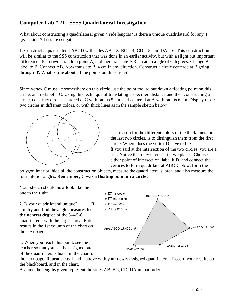# **Computer Lab # 21 - SSSS Quadrilateral Investigation**

What about constructing a quadrilateral given 4 side lengths? Is there a unique quadrilateral for any 4 given sides? Let's investigate.

1. Construct a quadrilateral ABCD with sides  $AB = 3$ ,  $BC = 4$ ,  $CD = 5$ , and  $DA = 6$ . This construction will be similar to the SSS construction that was done in an earlier activity, but with a slight but important difference. Put down a random point A, and then translate A 3 cm at an angle of 0 degrees. Change A' s label to B. Connect AB. Now translate B, 4 cm in any direction. Construct a circle centered at B going through B'. What is true about all the points on this circle?

Since vertex C must lie somewhere on this circle, use the point tool to put down a floating point on this circle, and re-label it C. Using this technique of translating a specified distance and then constructing a circle, construct circles centered at C with radius 5 cm, and centered at A with radius 6 cm. Display those two circles in different colors, or with thick lines as in the sample sketch below.

\_\_\_\_\_\_\_\_\_\_\_\_\_\_\_\_\_\_\_\_\_\_\_\_\_\_\_\_\_\_\_\_\_\_\_\_\_\_\_\_\_\_\_\_\_\_\_\_\_\_\_\_\_\_\_\_\_\_\_\_\_\_\_\_\_\_\_\_\_\_\_\_\_\_\_\_\_



The reason for the different colors or the thick lines for the last two circles, is to distinguish them from the first circle. Where does the vertex D have to be? If you said at the intersection of the two circles, you are a star. Notice that they intersect in two places. Choose either point of intersection, label it D, and connect the vertices to form quadrilateral ABCD. Now, form the

polygon interior, hide all the construction objects, measure the quadrilateral's area, and also measure the four interior angles. **Remember, C was a floating point on a circle!**

Your sketch should now look like the one to the right

2. Is your quadrilateral unique? \_\_\_\_\_ If not, try and find the angle measures **to the nearest degree** of the 3-4-5-6 quadrilateral with the largest area. Enter results in the 1st column of the chart on the next page..



3. When you reach this point, see the teacher so that you can be assigned one of the quadrilaterals listed in the chart on

the next page. Repeat steps 1 and 2 above with your newly assigned quadrilateral. Record your results on the blackboard, and in the chart.

Assume the lengths given represent the sides AB, BC, CD, DA in that order.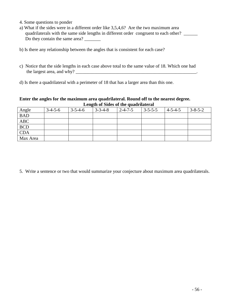- 4. Some questions to ponder
- a) What if the sides were in a different order like 3,5,4,6? Are the two maximum area quadrilaterals with the same side lengths in different order congruent to each other? \_\_\_\_\_\_ Do they contain the same area? \_\_\_\_\_\_\_
- b) Is there any relationship between the angles that is consistent for each case?
- c) Notice that the side lengths in each case above total to the same value of 18. Which one had the largest area, and why?  $\frac{1}{2}$  and  $\frac{1}{2}$  and  $\frac{1}{2}$  and  $\frac{1}{2}$  and  $\frac{1}{2}$  and  $\frac{1}{2}$  and  $\frac{1}{2}$  and  $\frac{1}{2}$  and  $\frac{1}{2}$  and  $\frac{1}{2}$  and  $\frac{1}{2}$  and  $\frac{1}{2}$  and  $\frac{1}{2}$  and  $\frac{1}{2}$  an
- d) Is there a quadrilateral with a perimeter of 18 that has a larger area than this one.

#### **Enter the angles for the maximum area quadrilateral. Round off to the nearest degree. Length of Sides of the quadrilateral**

| Angle      | $3-4-5-6$ | $3 - 5 - 4 - 6$ | $3 - 3 - 4 - 8$ | $2 - 4 - 7 - 5$ | $3 - 5 - 5 - 5$ | $ 4 - 5 - 4 - 5 $ | $3 - 8 - 5 - 2$ |
|------------|-----------|-----------------|-----------------|-----------------|-----------------|-------------------|-----------------|
| <b>BAD</b> |           |                 |                 |                 |                 |                   |                 |
| <b>ABC</b> |           |                 |                 |                 |                 |                   |                 |
| <b>BCD</b> |           |                 |                 |                 |                 |                   |                 |
| <b>CDA</b> |           |                 |                 |                 |                 |                   |                 |
| Max Area   |           |                 |                 |                 |                 |                   |                 |

5. Write a sentence or two that would summarize your conjecture about maximum area quadrilaterals.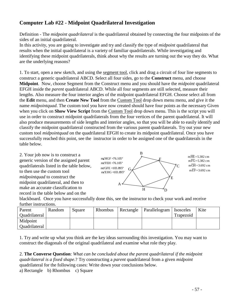# **Computer Lab #22 - Midpoint Quadrilateral Investigation**

Definition - The *midpoint quadrilateral* is the quadrilateral obtained by connecting the four midpoints of the sides of an initial quadrilateral.

In this activity, you are going to investigate and try and classify the type of *midpoint* quadrilateral that results when the initial quadrilateral is a variety of familiar quadrilaterals. While investigating and identifying these midpoint quadrilaterals, think about why the results are turning out the way they do. What are the underlying reasons?

1. To start, open a new sketch, and using the segment tool, click and drag a circuit of four line segments to construct a generic quadrilateral ABCD. Select all four sides, go to the **Construct** menu, and choose **Midpoint**. Now, choose Segment from the Construct menu and you should have the *midpoint* quadrilateral EFGH inside the *parent* quadrilateral ABCD. While all four segments are still selected, measure their lengths. Also measure the four interior angles of the midpoint quadrilateral EFGH. Choose select all from the **Edit** menu, and then **Create New Tool** from the Custom Tool drop down menu menu, and give it the name *midpointquad*. The custom tool you have now created should have four points as the necessary Given when you click on **Show View Script** from the Custom Tool drop down menu. This is the script you will use in order to construct midpoint quadrilaterals from the four vertices of the parent quadrilateral. It will also produce measurements of side lengths and interior angles, so that you will be able to easily identify and classify the midpoint quadrilateral constructed from the various parent quadrilaterals. Try out your new custom tool *midpointquad* on the quadrilateral EFGH to create its midpoint quadrilateral. Once you have successfully reached this point, see the instructor in order to be assigned one of the quadrilaterals in the table below.

2. Your job now is to construct a generic version of the assigned parent quadrilaterals listed in the table below, to then use the custom tool *midpointquad* to construct the midpoint quadrilateral, and then to make an accurate classification to record in the table below and on the



blackboard. Once you have successfully done this, see the instructor to check your work and receive further instructions.

| 1010110111001001101101 |        |        |         |           |                           |           |      |
|------------------------|--------|--------|---------|-----------|---------------------------|-----------|------|
| Parent                 | Random | Square | Rhombus | Rectangle | Parallelogram   Isosceles |           | Kite |
| Ouadrilateral          |        |        |         |           |                           | Trapezoid |      |
| Midpoint               |        |        |         |           |                           |           |      |
| Ouadrilateral          |        |        |         |           |                           |           |      |

1. Try and write up what you think are the key ideas surrounding this investigation. You may want to construct the diagonals of the original quadrilateral and examine what role they play.

2. **The Converse Question**: *What can be concluded about the parent quadrilateral if the midpoint quadrilateral is a fixed shape*.? Try constructing a *parent* quadrilateral from a given *midpoint* quadrilateral for the following cases: Write down your conclusions below.

a) Rectangle b) Rhombus c) Square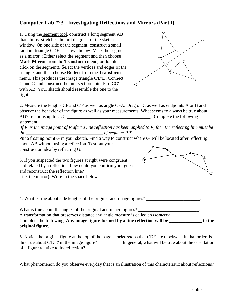# **Computer Lab #23 - Investigating Reflections and Mirrors (Part I)**

1. Using the segment tool, construct a long segment AB that almost stretches the full diagonal of the sketch window. On one side of the segment, construct a small random triangle CDE as shown below. Mark the segment as a mirror. (Either select the segment and then choose **Mark Mirror** from the **Transform** menu, or doubleclick on the segment). Select the vertices and edges of the triangle, and then choose **Reflect** from the **Transform** menu. This produces the image triangle C'D'E'. Connect C and C' and construct the intersection point F of CC' with AB. Your sketch should resemble the one to the right.



F

F'

2. Measure the lengths CF and C'F as well as angle CFA. Drag on C as well as endpoints A or B and observe the behavior of the figure as well as your measurements. What seems to always be true about AB's relationship to CC'. \_\_\_\_\_\_\_\_\_\_\_\_\_\_\_\_\_\_\_\_\_\_\_\_\_\_\_\_\_\_\_\_\_\_\_\_. Complete the following statement:

*If P' is the image point of P after a line reflection has been applied to P, then the reflecting line must be the \_\_\_\_\_\_\_\_\_\_\_\_\_\_\_\_\_\_\_\_\_\_\_\_\_\_\_\_\_\_\_\_\_ of segment PP'.* 

 $\bar{C}$ 

Put a floating point G in your sketch. Find a way to construct where G' will be located after reflecting about AB without using a reflection. Test out your construction idea by reflecting G.  $D \rightarrow K$ 

3. If you suspected the two figures at right were congruent and related by a reflection, how could you confirm your guess

and reconstruct the reflection line?

( i.e. the mirror). Write in the space below.

4. What is true about side lengths of the original and image figures?

What is true about the angles of the original and image figures?

A transformation that preserves distance and angle measure is called an *isometry*.

Complete the following: **Any image figure formed by a line reflection will be \_\_\_\_\_\_\_\_\_\_\_\_\_\_ to the original figure.** 

5. Notice the original figure at the top of the page is *oriented* so that CDE are clockwise in that order. Is this true about C'D'E' in the image figure? \_\_\_\_\_\_\_\_\_. In general, what will be true about the orientation of a figure relative to its reflection?

What phenomenon do you observe everyday that is an illustration of this characteristic about reflections?

 $\mathbf{C}'$ 

 $E \setminus \mathcal{P}$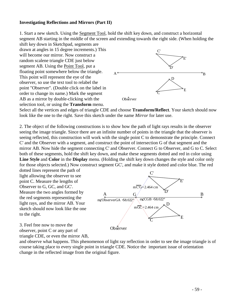#### **Investigating Reflections and Mirrors (Part II)**

1. Start a new sketch. Using the Segment Tool, hold the shift key down, and construct a horizontal segment AB starting in the middle of the screen and extending towards the right side. (When holding the shift key down in Sketchpad, segments are

drawn at angles in 15 degree increments.) This will become our mirror. Now construct a random scalene triangle CDE just below segment AB. Using the Point Tool, put a floating point somewhere below the triangle. This point will represent the eye of the observer, so use the text tool to relabel the point "Observer". (Double click on the label in order to change its name.) Mark the segment AB as a mirror by double-clicking with the selection tool, or using the **Transform** menu.



Select all the vertices and edges of triangle CDE and choose **Transform/Reflect**. Your sketch should now look like the one to the right. Save this sketch under the name *Mirror* for later use.

2. The object of the following constructions is to show how the path of light rays results in the observer seeing the image triangle. Since there are an infinite number of points in the triangle that the observer is seeing reflected, this construction will work with the single point C to demonstrate the principle. Connect C' and the Observer with a segment, and construct the point of intersection G of that segment and the mirror AB. Now hide the segment connecting C' and Observer. Connect G to Observer, and G to C. Select both of these segments, hold the shift key down, and make these segments dotted and red in color using **Line Style** and **Color** in the **Display** menu. (Holding the shift key down changes the style and color only for those objects selected.) Now construct segment GC', and make it style dotted and color blue. The red

dotted lines represent the path of light allowing the observer to see point C. Measure the lengths of Observer to G, GC, and GC'. Measure the two angles formed by the red segments representing the light rays, and the mirror AB. Your sketch should now look like the one to the right.

A  $G /$  B  $\overline{\rm C}$ D E **Observer**  $\overline{C}$ D' E' G  $m\overline{C'G}$  = 2.464 cm  $m\overrightarrow{GC}$  = 2.464 cm  $m\angle$ ObserverGA  $=$  58.022°  $m\angle$ CGB  $=$  58.022°

3. Feel free now to move the observer, point C or any part of triangle CDE, or even the mirror AB,

and observe what happens. This phenomenon of light ray reflection in order to see the image triangle is of course taking place to every single point in triangle CDE. Notice the important issue of orientation change in the reflected image from the original figure.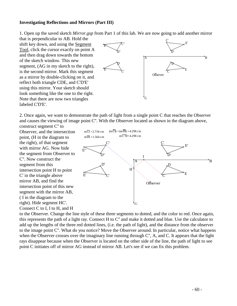#### **Investigating Reflections and Mirrors (Part III)**

1. Open up the saved sketch *Mirror*.*gsp* from Part 1 of this lab. We are now going to add another mirror

that is perpendicular to AB. Hold the shift key down, and using the Segment Tool, click the cursor exactly on point A and then drag down towards the bottom of the sketch window. This new segment, (AG in my sketch to the right), is the second mirror. Mark this segment as a mirror by double-clicking on it, and reflect both triangle CDE, and C'D'E' using this mirror. Your sketch should look something like the one to the right. Note that there are now two triangles labeled C'D'E'.



2. Once again, we want to demonstrate the path of light from a single point C that reaches the Observer and causes the viewing of image point C''. With the Observer located as shown in the diagram above, construct segment C'' to

Observer, and the intersection point, (H in the diagram to the right), of that segment with mirror AG. Now hide the segment from Observer to C''. Now construct the segment from this intersection point H to point C' in the triangle above mirror AB, and find the intersection point of this new segment with the mirror AB, ( I in the diagram to the right). Hide segment HC'. Connect C to I, I to H, and H



to the Observer. Change the line style of these three segments to dotted, and the color to red. Once again, this represents the path of a light ray. Connect H to C'' and make it dotted and blue. Use the calculator to add up the lengths of the three red dotted lines, (i.e. the path of light), and the distance from the observer to the image point C''. What do you notice? Move the Observer around. In particular, notice what happens when the Observer crosses over the imaginary line running through C", A, and C. It appears that the light rays disappear because when the Observer is located on the other side of the line, the path of light to see point C initiates off of mirror AG instead of mirror AB. Let's see if we can fix this problem.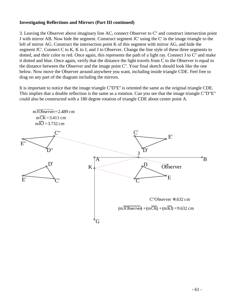### **Investigating Reflections and Mirrors (Part III continued)**

3. Leaving the Observer above imaginary line AC, connect Observer to C'' and construct intersection point J with mirror AB. Now hide the segment. Construct segment JC' using the C' in the image triangle to the left of mirror AG. Construct the intersection point K of this segment with mirror AG, and hide the segment JC'. Connect C to K, K to J, and J to Observer. Change the line style of these three segments to dotted, and their color to red. Once again, this represents the path of a light ray. Connect J to C'' and make it dotted and blue. Once again, verify that the distance the light travels from C to the Observer is equal to the distance between the Observer and the image point C''. Your final sketch should look like the one below. Now move the Observer around anywhere you want, including inside triangle CDE. Feel free to drag on any part of the diagram including the mirrors.

It is important to notice that the image triangle C''D''E'' is oriented the same as the original triangle CDE. This implies that a double reflection is the same as a rotation. Can you see that the image triangle C"D"E" could also be constructed with a 180 degree rotation of triangle CDE about center point A.

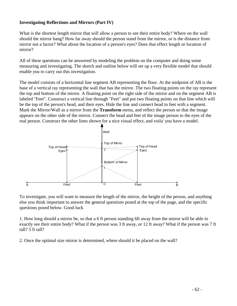### **Investigating Reflections and Mirrors (Part IV)**

What is the shortest length mirror that will allow a person to see their entire body? Where on the wall should the mirror hang? How far away should the person stand from the mirror, or is the distance from mirror not a factor? What about the location of a person's eyes? Does that effect length or location of mirror?

All of these questions can be answered by modeling the problem on the computer and doing some measuring and investigating. The sketch and outline below will set up a very flexible model that should enable you to carry out this investigation.

The model consists of a horizontal line segment AB representing the floor. At the midpoint of AB is the base of a vertical ray representing the wall that has the mirror. The two floating points on the ray represent the top and bottom of the mirror. A floating point on the right side of the mirror and on the segment AB is labeled "Feet". Construct a vertical line through "Feet" and put two floating points on that line which will be the top of the person's head, and their eyes. Hide the line and connect head to feet with a segment. Mark the Mirror/Wall as a mirror from the **Transform** menu, and reflect the person so that the image appears on the other side of the mirror. Connect the head and feet of the image person to the eyes of the real person. Construct the other lines shown for a nice visual effect, and voila' you have a model.



To investigate, you will want to measure the length of the mirror, the height of the person, and anything else you think important to answer the general questions posed at the top of the page, and the specific questions posed below. Good luck

1. How long should a mirror be, so that a 6 ft person standing 6ft away from the mirror will be able to exactly see their entire body? What if the person was 3 ft away, or 12 ft away? What if the person was 7 ft tall? 5 ft tall?

2. Once the optimal size mirror is determined, where should it be placed on the wall?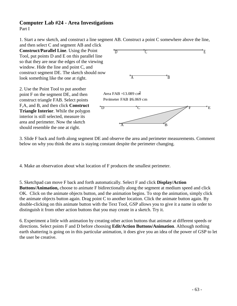### **Computer Lab #24 - Area Investigations** Part I

should resemble the one at right.

1. Start a new sketch, and construct a line segment AB. Construct a point C somewhere above the line, and then select C and segment AB and click

**Construct/Parallel Line**. Using the Point Tool, put points D and E on this parallel line so that they are near the edges of the viewing window. Hide the line and point C, and construct segment DE. The sketch should now look something like the one at right. 2. Use the Point Tool to put another point F on the segment DE, and then construct triangle FAB. Select points F,A, and B, and then click **Construct Triangle Interior**. While the polygon interior is still selected, measure its area and perimeter. Now the sketch A B D C E  $\overline{A}$   $\overline{B}$  $D$   $C$   $F$   $E$ Area FAB  $= 13.089$  cm<sup>2</sup> Perimeter FAB 26.069 cm

3. Slide F back and forth along segment DE and observe the area and perimeter measurements. Comment below on why you think the area is staying constant despite the perimeter changing.

4. Make an observation about what location of F produces the smallest perimeter.

5. Sketchpad can move F back and forth automatically. Select F and click **Display/Action Buttons/Animation,** choose to animate F bidirectionally along the segment at medium speed and click OK. Click on the animate objects button, and the animation begins. To stop the animation, simply click the animate objects button again. Drag point C to another location. Click the animate button again. By double-clicking on this animate button with the Text Tool, GSP allows you to give it a name in order to distinguish it from other action buttons that you may create in a sketch. Try it.

6. Experiment a little with animation by creating other action buttons that animate at different speeds or directions. Select points F and D before choosing **Edit/Action Buttons/Animation**. Although nothing earth shattering is going on in this particular animation, it does give you an idea of the power of GSP to let the user be creative.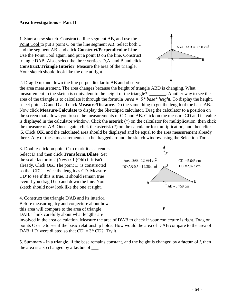#### **Area Investigations - Part II**

1. Start a new sketch. Construct a line segment AB, and use the Point Tool to put a point C on the line segment AB. Select both C and the segment AB, and click **Construct/Perpendicular Line**. Use the Point Tool again, and put a point D on the line. Construct triangle DAB. Also, select the three vertices D,A, and B and click **Construct/Triangle Interior**. Measure the area of the triangle. Your sketch should look like the one at right.

 $\overline{A}$   $\uparrow C$   $\overline{B}$ D Area DAB  $= 8.890 \text{ cm}^2$ 

2. Drag D up and down the line perpendicular to AB and observe

the area measurement. The area changes because the height of triangle ABD is changing. What measurement in the sketch is equivalent to the height of the triangle? \_\_\_\_\_\_\_. Another way to see the area of the triangle is to calculate it through the formula *Area = .5\* base\* height.* To display the height, select points C and D and click **Measure/Distance**. Do the same thing to get the length of the base AB. Now click **Measure/Calculate** to display the Sketchpad calculator. Drag the calculator to a position on the screen that allows you to see the measurements of CD and AB. Click on the measure CD and its value is displayed in the calculator window. Click the asterisk (\*) on the calculator for multiplication, then click the measure of AB. Once again, click the asterisk (\*) on the calculator for multiplication, and then click **.5**. Click **OK**, and the calculated area should be displayed and be equal to the area measurement already there. Any of these measurements can be dragged around the sketch window using the Selection Tool.

3. Double-click on point C to mark it as a center. Select D and then click **Transform/Dilate**. Set the scale factor to  $2$  (New) / 1 (Old) if it isn't already. Click **OK**. The point D' is constructed so that CD' is twice the length as CD. Measure CD' to see if this is true. It should remain true even if you drag D up and down the line. Your sketch should now look like the one at right.

4. Construct the triangle D'AB and its interior. Before measuring, try and conjecture about how this area will compare to the area of triangle DAB. Think carefully about what lengths are



involved in the area calculation. Measure the area of D'AB to check if your conjecture is right. Drag on points C or D to see if the basic relationship holds. How would the area of D'AB compare to the area of DAB if D' were dilated so that  $CD' = 3* CD$ ? Try it.

5. Summary - In a triangle, if the base remains constant, and the height is changed by a **factor** of *f*, then the area is also changed by a **factor** of \_\_\_.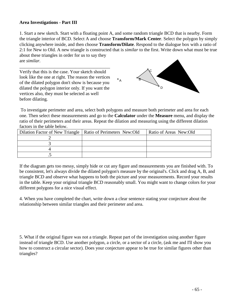### **Area Investigations - Part III**

1. Start a new sketch. Start with a floating point A, and some random triangle BCD that is nearby. Form the triangle interior of BCD. Select A and choose **Transform/Mark Center**. Select the polygon by simply clicking anywhere inside, and then choose **Transform/Dilate**. Respond to the dialogue box with a ratio of 2:1 for New to Old. A new triangle is constructed that is *similar* to the first. Write down what must be true about these triangles in order for us to say they are *similar.*

A

\_\_\_\_\_\_\_\_\_\_\_\_\_\_\_\_\_\_\_\_\_\_\_\_\_\_\_\_\_\_\_\_\_\_\_\_\_\_\_ Verify that this is the case. Your sketch should look like the one at right. The reason the vertices of the dilated polygon don't show is because you dilated the polygon interior only. If you want the vertices also, they must be selected as well before dilating.



To investigate perimeter and area, select both polygons and measure both perimeter and area for each one. Then select these measurements and go to the **Calculator** under the **Measure** menu, and display the ratio of their perimeters and their areas. Repeat the dilation and measuring using the different dilation factors in the table below.

| Dilation Factor of New Triangle   Ratio of Perimeters New:Old | Ratio of Areas New:Old |
|---------------------------------------------------------------|------------------------|
|                                                               |                        |
|                                                               |                        |
|                                                               |                        |
|                                                               |                        |

If the diagram gets too messy, simply hide or cut any figure and measurements you are finished with. To be consistent, let's always divide the dilated polygon's measure by the original's. Click and drag A, B, and triangle BCD and observe what happens to both the picture and your measurements. Record your results in the table. Keep your original triangle BCD reasonably small. You might want to change colors for your different polygons for a nice visual effect.

4. When you have completed the chart, write down a clear sentence stating your conjecture about the relationship between similar triangles and their perimeter and area.

5. What if the original figure was not a triangle. Repeat part of the investigation using another figure instead of triangle BCD. Use another polygon, a circle, or a sector of a circle, (ask me and I'll show you how to construct a circular sector). Does your conjecture appear to be true for similar figures other than triangles?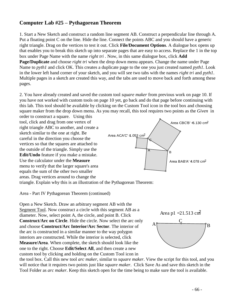# **Computer Lab #25 – Pythagorean Theorem**

1. Start a New Sketch and construct a random line segment AB. Construct a perpendicular line through A. Put a floating point C on the line. Hide the line. Connect the points ABC and you should have a generic right triangle. Drag on the vertices to test it out. Click **File/Document Options**. A dialogue box opens up that enables you to break this sketch up into separate pages that are easy to access. Replace the 1 in the top box under Page Name with the name *right tri* . Now, in this same dialogue box, click **Add Page/Duplicate** and choose *right tri* when the drop down menu appears. Change the name under Page Name to *pyth1* and click OK. This creates a duplicate page to the one you just created named *pyth1*. Look in the lower left hand corner of your sketch, and you will see two tabs with the names *right tri* and *pyth1*. Multiple pages in a sketch are created this way, and the tabs are used to move back and forth among these pages.

2. You have already created and saved the custom tool *square maker* from previous work on page 10. If you have not worked with custom tools on page 10 yet, go back and do that page before continuing with this lab. This tool should be available by clicking on the Custom Tool icon in the tool box and choosing square maker from the drop down menu. As you may recall, this tool requires two points as the *Given* in

order to construct a square. Using this tool, click and drag from one vertex of right triangle ABC to another, and create a sketch similar to the one at right. Be careful in the direction you choose the vertices so that the squares are attached to the outside of the triangle. Simply use the **Edit/Undo** feature if you make a mistake. Use the calculator under the **Measure** menu to verify that the larger square's area equals the sum of the other two smaller areas. Drag vertices around to change the



triangle. Explain why this is an illustration of the Pythagorean Theorem:

Area - Part IV Pythagorean Theorem (continued)

Open a New Sketch. Draw an arbitrary segment AB with the Segment Tool. Now construct a circle with this segment AB as a diameter. Now, select point A, the circle, and point B. Click **Construct/Arc on Circle**. Hide the circle. Now select the arc only and choose **Construct/Arc Interior/Arc Sector**. The interior of the arc is constructed in a similar manner to the way polygon interiors are constructed. While the interior is selected, click **Measure/Area**. When complete, the sketch should look like the one to the right. Choose **Edit/Select All**, and then create a new custom tool by clicking and holding on the Custom Tool icon in



the tool box. Call this new tool *arc maker*, similar to *square maker*. View the script for this tool, and you will notice that it requires two points just like *square maker*. Click Save As and save this sketch in the Tool Folder as *arc maker*. Keep this sketch open for the time being to make sure the tool is available.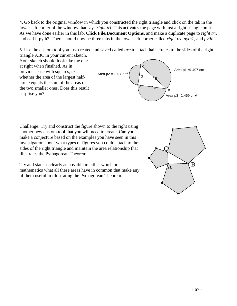4. Go back to the original window in which you constructed the right triangle and click on the tab in the lower left corner of the window that says *right tri*. This activates the page with just a right triangle on it. As we have done earlier in this lab, **Click File/Document Options**, and make a duplicate page to *right tri*, and call it pyth2. There should now be three tabs in the lower left corner called *right tri, pyth1*, and *pyth2*..

5. Use the custom tool you just created and saved called *arc* to attach half-circles to the sides of the right triangle ABC in your current sketch.

Your sketch should look like the one at right when finsihed. As in previous case with squares, test whether the area of the largest halfcircle equals the sum of the areas of the two smaller ones. Does this result surprise you?



Challenge: Try and construct the figure shown to the right using another new custom tool that you will need to create. Can you make a conjecture based on the examples you have seen in this investigation about what types of figures you could attach to the sides of the right triangle and maintain the area relationship that illustrates the Pythagorean Theorem.

Try and state as clearly as possible in either words or mathematics what all these areas have in common that make any of them useful in illustrating the Pythagorean Theorem.

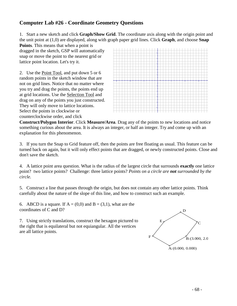# **Computer Lab #26 - Coordinate Geometry Questions**

1. Start a new sketch and click **Graph/Show Grid**. The coordinate axis along with the origin point and the unit point at (1,0) are displayed, along with graph paper grid lines. Click **Graph**, and choose **Snap** 

**Points**. This means that when a point is dragged in the sketch, GSP will automatically snap or move the point to the nearest grid or lattice point location. Let's try it.

2. Use the Point Tool, and put down 5 or 6 random points in the sketch window that are not on grid lines. Notice that no matter where you try and drag the points, the points end up at grid locations. Use the Selection Tool and drag on any of the points you just constructed. They will only move to lattice locations. Select the points in clockwise or counterclockwise order, and click



**Construct/Polygon Interior**. Click **Measure/Area**. Drag any of the points to new locations and notice something curious about the area. It is always an integer, or half an integer. Try and come up with an explanation for this phenomenon.

3. If you turn the Snap to Grid feature off, then the points are free floating as usual. This feature can be turned back on again, but it will only effect points that are dragged, or newly constructed points. Close and don't save the sketch.

4. A lattice point area question. What is the radius of the largest circle that surrounds **exactly** one lattice point? two lattice points? Challenge: three lattice points? *Points on a circle are not surrounded by the circle.*

5. Construct a line that passes through the origin, but does not contain any other lattice points. Think carefully about the nature of the slope of this line, and how to construct such an example.

6. ABCD is a square. If  $A = (0,0)$  and  $B = (3,1)$ , what are the coordinates of C and D?

7. Using strictly translations, construct the hexagon pictured to the right that is equilateral but not equiangular. All the vertices are all lattice points.

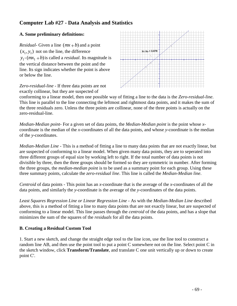## **Computer Lab #27 - Data Analysis and Statistics**

### **A. Some preliminary definitions:**

*Residual*-Given a line  $(mx + b)$  and a point  $(x_1, y_1)$  not on the line, the difference  $y_1$ - $(mx_1 + b)$  is called a *residual*. Its magnitude is the vertical distance between the point and the line. Its sign indicates whether the point is above or below the line.

*Zero-residual-line* - If three data points are not exactly collinear, but they are suspected of



conforming to a linear model, then one possible way of fitting a line to the data is the *Zero-residual-line*. This line is parallel to the line connecting the leftmost and rightmost data points, and it makes the sum of the three residuals zero. Unless the three points are collinear, none of the three points is actually on the zero-residual-line.

*Median-Median point*- For a given set of data points, the *Median-Median point* is the point whose *x*coordinate is the median of the *x*-coordinates of all the data points, and whose *y*-coordinate is the median of the *y*-coordinates.

*Median-Median Line* - This is a method of fitting a line to many data points that are not exactly linear, but are suspected of conforming to a linear model. When given many data points, they are to seperated into three different groups of equal size by working left to right. If the total number of data points is not divisible by three, then the three groups should be formed so they are symmetric in number. After forming the three groups, the *median-median point* is to be used as a summary point for each group. Using these three summary points, calculate the *zero-residual line*. This line is called the *Median-Median line*.

*Centroid* of data points - This point has an *x*-coordinate that is the average of the *x*-coordinates of all the data points, and similarly the *y*-coordinate is the average of the *y*-coordinates of the data points.

*Least Squares Regression Line or Linear Regression Line* - As with the *Median-Median Line* described above, this is a method of fitting a line to many data points that are not exactly linear, but are suspected of conforming to a linear model. This line passes through the *centroid* of the data points, and has a slope that minimizes the sum of the squares of the *residuals* for all the data points.

### **B. Creating a Residual Custom Tool**

1. Start a new sketch, and change the straight edge tool to the line icon, use the line tool to construct a random line AB, and then use the point tool to put a point C somewhere not on the line. Select point C in the sketch window, click **Transform/Translate**, and translate C one unit vertically up or down to create point C'.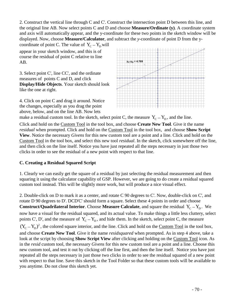2. Construct the vertical line through C and C'. Construct the intersection point D between this line, and the original line AB. Now select points C and D and choose **Measure/Ordinate (y)**. A coordinate system and axis will automatically appear, and the y-coordinate for these two points in the sketch window will be displayed. Now, choose **Measure/Calculator**, and subtract the *y*-coordinate of point D from the y-

coordinate of point C. The value of  $Y_C - Y_D$  will appear in your sketch window, and this is of course the residual of point C relative to line AB.

3. Select point C', line CC', and the ordinate measures of points C and D, and click **Display/Hide Objects**. Your sketch should look like the one at right.

4. Click on point C and drag it around. Notice the changes, especially as you drag the point above, below, and on the line AB. Now lets



make a residual custom tool. In the sketch, select point C, the measure  $Y_C - Y_D$ , and the line.

Click and hold on the Custom Tool in the tool box, and choose **Create New Tool**. Give it the name *residual* when prompted. Click and hold on the Custom Tool in the tool box, and choose **Show Script View**. Notice the necessary *Givens* for this new custom tool are a point and a line. Click and hold on the Custom Tool in the tool box, and select this new tool *residual*. In the sketch, click somewhere off the line, and then click on the line itself. Notice you have just repeated all the steps necessary in just those two clicks in order to see the residual of a new point with respect to that line.

#### **C. Creating a Residual Squared Script**

1. Clearly we can easily get the square of a residual by just selecting the residual measurement and then squaring it using the calculator capability of GSP. However, we are going to do create a residual squared custom tool instead. This will be slightly more work, but will produce a nice visual effect.

2. Double-click on D to mark it as a center, and rotate C 90 degrees to C'. Now, double-click on C', and rotate D 90 degrees to D'. DCD'C' should form a square. Select these 4 points in order and choose **Construct/Quadrilateral Interior.** Choose **Measure Calculate**, and square the residual  $Y_C - Y_D$ . We now have a visual for the residual squared, and its actual value. To make things a little less cluttery, select points C', D', and the measure of  $Y_C - Y_D$ , and hide them. In the sketch, select point C, the measure  $(Y_C - Y_D)^2$ , the colored square interior, and the line. Click and hold on the Custom Tool in the tool box, and choose **Create New Tool**. Give it the name *residsquared* when prompted. As in step 4 above, take a look at the script by choosing **Show Script View** after clicking and holding on the Custom Tool icon. As in the *resid* custom tool, the necessary *Givens* for this new custom tool are a point and a line. Choose this new custom tool, and test it out by clicking off the line first, and then the line itself. Notice you have just repeated all the steps necessary in just those two clicks in order to see the residual squared of a new point with respect to that line. Save this sketch in the Tool Folder so that these custom tools will be available to you anytime. Do not close this sketch yet.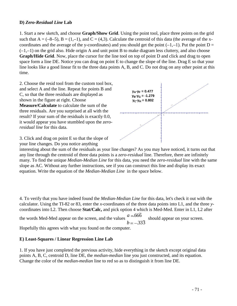#### **D)** *Zero-Residual Line* **Lab**

1. Start a new sketch, and choose **Graph/Show Grid**. Using the point tool, place three points on the grid such that  $A = (-8-5)$ ,  $B = (1,-1)$ , and  $C = (4,3)$ . Calculate the centroid of this data (the average of the xcoordinates and the average of the y-coordinates) and you should get the point  $(-1,-1)$ . Put the point D =  $(-1,-1)$  on the grid also. Hide origin A and unit point B to make diagram less cluttery, and also choose **Graph/Hide Grid**. Now, place the cursor for the line tool on top of point D and click and drag to open space form a line DE. Notice you can drag on point E to change the slope of the line. Drag E so that your line looks like a good linear fit to the three data points A, B, and C. Do not drag on any other point at this time.

2. Choose the resid tool from the custom tool box, and select A and the line. Repeat for points B and C, so that the three residuals are displayed as shown in the figure at right. Choose **Measure/Calculate** to calculate the sum of the three residuals. Are you surprised at all with the result? If your sum of the residuals is exactly 0.0, it would appear you have stumbled upon the *zeroresidual line* for this data.

3. Click and drag on point E so that the slope of your line changes. Do you notice anything



interesting about the sum of the residuals as your line changes? As you may have noticed, it turns out that any line through the centroid of three data points is a *zero-residual* line. Therefore, there are infinitely many. To find the unique *Median-Median Line* for this data, you need the *zero-residual* line with the same slope as AC. Without any further instructions, see if you can construct this line and display its exact equation. Write the equation of the *Median-Median Line* in the space below.

4. To verify that you have indeed found the *Median-Median Line* for this data, let's check it out with the calculator. Using the TI-82 or 83, enter the *x*-coordinates of the three data points into L1, and the three *y*coordinates into L2. Then choose **Stat/Calc,** and pick option 4 which is Med-Med. Enter in L1, L2 after the words Med-Med appear on the screen, and the values *a b* . . 666 333 should appear on your screen. Hopefully this agrees with what you found on the computer.

#### **E) Least-Squares / Linear Regression Line Lab**

1. If you have just completed the previous activity, hide everything in the sketch except original data points A, B, C, centroid D, line DE, the *median-median* line you just constructed, and its equation. Change the color of the *median-median* line to red so as to distinguish it from line DE.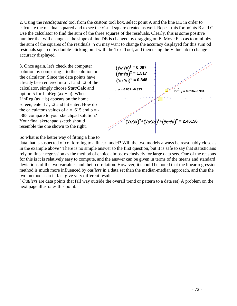2. Using the *residsquared* tool from the custom tool box, select point A and the line DE in order to calculate the residual squared and to see the visual square created as well. Repeat this for points B and C. Use the calculator to find the sum of the three squares of the residuals. Clearly, this is some positive number that will change as the slope of line DE is changed by dragging on E. Move E so as to minimize the sum of the squares of the residuals. You may want to change the accuracy displayed for this sum od residuals squared by double-clicking on it with the Text Tool, and then using the Value tab to change accuracy displayed.

3. Once again, let's check the computer solution by comparing it to the solution on the calculator. Since the data points have already been entered into L1 and L2 of the calculator, simply choose **Stat/Calc** and option 5 for LinReg  $(ax + b)$ . When LinReg  $(ax + b)$  appears on the home screen, enter L1,L2 and hit enter. How do the calculator's values of  $a = .615$  and  $b = -$ .385 compare to your sketchpad solution? Your final sketchpad sketch should resemble the one shown to the right.



So what is the better way of fitting a line to

data that is suspected of conforming to a linear model? Will the two models always be reasonably close as in the example above? There is no simple answer to the first question, but it is safe to say that statisticians rely on linear regression as the method of choice almost exclusively for large data sets. One of the reasons for this is it is relatively easy to compute, and the answer can be given in terms of the means and standard deviations of the two variables and their correlation. However, it should be noted that the linear regression method is much more influenced by *outliers* in a data set than the median-median approach, and thus the two methods can in fact give very different results.

( *Outliers* are data points that fall way outside the overall trend or pattern to a data set) A problem on the next page illustrates this point.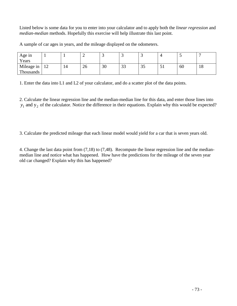Listed below is some data for you to enter into your calculator and to apply both the *linear regression* and *median-median* methods. Hopefully this exercise will help illustrate this last point.

A sample of car ages in years, and the mileage displayed on the odometers.

| Age in     |    |    |    |    |               | $\overline{\phantom{0}}$ |    |    |     |
|------------|----|----|----|----|---------------|--------------------------|----|----|-----|
| Years      |    |    |    |    |               |                          |    |    |     |
| Mileage in | 12 | 14 | 20 | 30 | $\cap$<br>ں ں | $\sim$ $\sim$<br>ЗJ      | JI | 60 | 1 O |
| Thousands  |    |    |    |    |               |                          |    |    |     |

1. Enter the data into L1 and L2 of your calculator, and do a scatter plot of the data points.

2. Calculate the linear regression line and the median-median line for this data, and enter those lines into  $y_1$  and  $y_2$  of the calculator. Notice the difference in their equations. Explain why this would be expected?

3. Calculate the predicted mileage that each linear model would yield for a car that is seven years old.

4. Change the last data point from (7,18) to (7,48). Recompute the linear regression line and the medianmedian line and notice what has happened. How have the predictions for the mileage of the seven year old car changed? Explain why this has happened?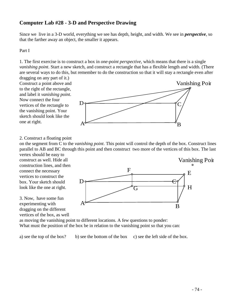# **Computer Lab #28 - 3-D and Perspective Drawing**

Since we live in a 3-D world, everything we see has depth, height, and width. We see in *perspective*, so that the farther away an object, the smaller it appears.

#### Part I

1. The first exercise is to construct a box in *one-point perspective*, which means that there is a single *vanishing point*. Start a new sketch, and construct a rectangle that has a flexible length and width. (There are several ways to do this, but remember to do the construction so that it will stay a rectangle even after

dragging on any part of it.) Construct a point above and to the right of the rectangle, and label it *vanishing point*. Now connect the four vertices of the rectangle to the vanishing point. Your sketch should look like the one at right.



2. Construct a floating point

on the segment from C to the *vanishing point*. This point will control the depth of the box. Construct lines parallel to AB and BC through this point and then construct two more of the vertices of this box. The last vertex should be easy to

construct as well. Hide all construction lines, and then connect the necessary vertices to construct the box. Your sketch should look like the one at right.

3. Now, have some fun experimenting with dragging on the different vertices of the box, as well



as moving the vanishing point to different locations. A few questions to ponder: What must the position of the box be in relation to the vanishing point so that you can:

a) see the top of the box? b) see the bottom of the box c) see the left side of the box.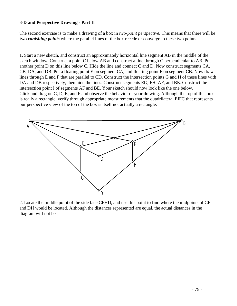#### **3-D and Perspective Drawing - Part II**

The second exercise is to make a drawing of a box in *two-point perspective.* This means that there will be **two** *vanishing points* where the parallel lines of the box recede or converge to these two points.

1. Start a new sketch, and construct an approximately horizontal line segment AB in the middle of the sketch window. Construct a point C below AB and construct a line through C perpendicular to AB. Put another point D on this line below C. Hide the line and connect C and D. Now construct segments CA, CB, DA, and DB. Put a floating point E on segment CA, and floating point F on segment CB. Now draw lines through E and F that are parallel to CD. Construct the intersection points G and H of these lines with DA and DB respectively, then hide the lines. Construct segments EG, FH, AF, and BE. Construct the intersection point I of segments AF and BE. Your sketch should now look like the one below. Click and drag on C, D, E, and F and observe the behavior of your drawing. Although the top of this box is really a rectangle, verify through appropriate measurements that the quadrilateral EIFC that represents our perspective view of the top of the box is itself not actually a rectangle.



2. Locate the middle point of the side face CFHD, and use this point to find where the midpoints of CF and DH would be located. Although the distances represented are equal, the actual distances in the diagram will not be.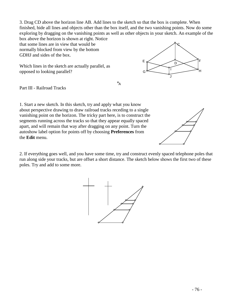3. Drag CD above the horizon line AB. Add lines to the sketch so that the box is complete. When finished, hide all lines and objects other than the box itself, and the two vanishing points. Now do some exploring by dragging on the vanishing points as well as other objects in your sketch. An example of the box above the horizon is shown at right. Notice

that some lines are in view that would be normally blocked from view by the bottom GDHJ and sides of the box.

Which lines in the sketch are actually parallel, as opposed to looking parallel?



 $\circ$ <sub>A</sub>

Part III - Railroad Tracks

1. Start a new sketch. In this sketch, try and apply what you know about perspective drawing to draw railroad tracks receding to a single vanishing point on the horizon. The tricky part here, is to construct the segments running across the tracks so that they appear equally spaced apart, and will remain that way after dragging on any point. Turn the autoshow label option for points off by choosing **Preferences** from the **Edit** menu.

2. If everything goes well, and you have some time, try and construct evenly spaced telephone poles that run along side your tracks, but are offset a short distance. The sketch below shows the first two of these poles. Try and add to some more.



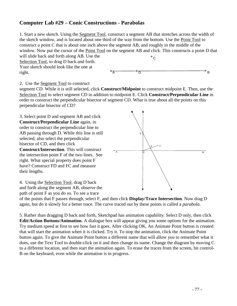### **Computer Lab #29 – Conic Constructions - Parabolas**

1. Start a new sketch. Using the Segment Tool, construct a segment AB that stretches across the width of the sketch window, and is located about one third of the way from the bottom. Use the Point Tool to construct a point C that is about one inch above the segment AB, and roughly in the middle of the window. Now put the cursor of the Point Tool on the segment AB and click. This constructs a point D that will slide back and forth along AB. Use the Selection Tool, to drag D back and forth.  $^{\circ}$  C

Your sketch should look like the one at right.



#### 2. Use the Segment Tool to construct

segment CD. While it is still selected, click **Construct/Midpoint** to construct midpoint E. Then, use the Selection Tool to select segment CD in addition to midpoint E. Click **Construct/Perpendicular Line** in order to construct the perpendicular bisector of segment CD. What is true about all the points on this perpendicular bisector of CD?

3. Select point D and segment AB and click **Construct/Perpendicular Line** again, in order to construct the perpendicular line to AB passing through D. While this line is still selected, also select the perpendicular bisector of CD, and then click **Construct/Intersection**. This will construct the intersection point F of the two lines. See right. What special property does point F have? Construct FD and FC and measure their lengths.



4. Using the Selection Tool, drag D back and forth along the segment AB, observe the path of point F as you do so. To see a trace

of the points that F passes through, select F, and then click **Display/Trace Intersection**. Now drag D again, but do it slowly for a better trace. The curve traced out by these points is called a *parabola*.

5. Rather than dragging D back and forth, Sketchpad has animation capability. Select D only, then click **Edit/Action Buttons/Animation**. A dialogue box will appear giving you some options for the animation. Try medium speed at first to see how fast it goes. After clicking OK, An Animate Point button is created that will start the animation when it is clicked. Try it. To stop the animation, click the Animate Point button again. To give the Animate Point button a different name that will allow you to remember what it does, use the Text Tool to double-click on it and then change its name. Change the diagram by moving C to a different location, and then start the animation again. To erase the traces from the screen, hit control-B on the keyboard, even while the animation is in progress.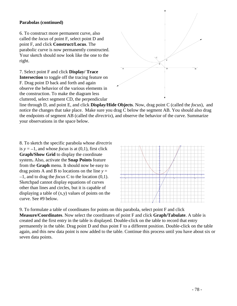#### **Parabolas (continued)**

6. To construct more permanent curve, also called the *locus* of point F, select point D and point F, and click **Construct/Locus**. The parabolic curve is now permanently constructed. Your sketch should now look like the one to the right.

7. Select point F and click **Display/ Trace Intersection** to toggle off the tracing feature on F. Drag point D back and forth and again observe the behavior of the various elements in the construction. To make the diagram less cluttered, select segment CD, the perpendicular



line through D, and point E, and click **Display/Hide Objects**. Now, drag point C (called the *focus*), and notice the changes that take place. Make sure you drag C below the segment AB. You should also drag the endpoints of segment AB (called the *directrix*), and observe the behavior of the curve. Summarize your observations in the space below.

8. To sketch the specific parabola whose *directrix* is  $y = -1$ , and whose *focus* is at (0,1), first click **Graph/Show Grid** to display the coordinate system**.** Also, activate the **Snap Points** feature from the **Graph** menu. It should now be easy to drag points A and B to locations on the line  $y =$  $-1$ , and to drag the *focus* C to the location  $(0,1)$ . Sketchpad cannot display equations of curves other than lines and circles, but it is capable of displaying a table of (x,y) values of points on the curve. See #9 below.



9. To formulate a table of coordinates for points on this parabola, select point F and click **Measure/Coordinates**. Now select the coordinates of point F and click **Graph/Tabulate**. A table is created and the first entry in the table is displayed. Double-click on the table to record that entry permanently in the table. Drag point D and thus point F to a different position. Double-click on the table again, and this new data point is now added to the table. Continue this process until you have about six or seven data points.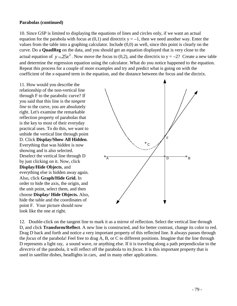#### **Parabolas (continued)**

10. Since GSP is limited to displaying the equations of lines and circles only, if we want an actual equation for the parabola with focus at  $(0,1)$  and directrix  $y = -1$ , then we need another way. Enter the values from the table into a graphing calculator. Include (0,0) as well, since this point is clearly on the curve. Do a **QuadReg** on the data, and you should get an equation displayed that is very close to the actual equation of  $y = 25x^2$ . Now move the focus to (0,2), and the directrix to  $y = -2$ ? Create a new table and determine the regression equation using the calculator. What do you notice happened to the equation. Repeat this process for a couple of more examples and try and predict what is going on with the coefficient of the *x*-squared term in the equation, and the distance between the focus and the dirctrix.

11. How would you describe the relationship of the non-vertical line through F to the parabolic curve? If you said that this line is the *tangent line* to the curve, you are absolutely right. Let's examine the remarkable reflection property of parabolas that is the key to most of their everyday practical uses. To do this, we want to unhide the vertical line through point D. Click **Display/Show All Hidden**. Everything that was hidden is now showing and is also selected. Deselect the vertical line through D by just clicking on it. Now, click **Display/Hide Objects**, and everything else is hidden away again. Also, click **Graph/Hide Grid.** In order to hide the axis, the origin, and the unit point, select them, and then choose **Display/ Hide Objects.** Also, hide the table and the coordinates of point F. Your picture should now look like the one at right.



12. Double-click on the tangent line to mark it as a mirror of reflection. Select the vertical line through D, and click **Transform/Reflect**. A new line is constructed, and for better contrast, change its color to red. Drag D back and forth and notice a very important property of this reflected line. It always passes through the *focus* of the parabola! Feel free to drag A, B, or C to different positions. Imagine that the line through D represents a light ray, a sound wave, or anything else. If it is traveling along a path perpendicular to the *directrix* of the parabola, it will reflect off the parabola to its *focus*. It is this important property that is used in satellite dishes, headlights in cars, and in many other applications.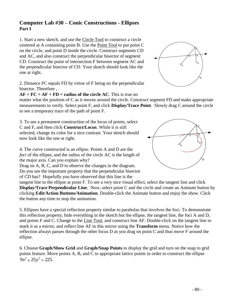### **Computer Lab #30 – Conic Constructions - Ellipses Part I**

1. Start a new sketch, and use the Circle Tool to construct a circle centered at A containing point B. Use the Point Tool to put point C on the circle, and point D inside the circle. Construct segments CD and AC, and also construct the perpendicular bisector of segment CD. Construct the point of intersection F between segment AC and the perpendicular bisector of CD. Your sketch should look like the one at right.

2. Distance FC equals FD by virtue of F being on the perpendicular bisector. Therefore ,

 $AF + FC = AF + FD =$ **radius of the circle AC**. This is true no

matter what the position of C as it moves around the circle. Construct segment FD and make appropriate measurements to verify. Select point F, and click **Display/Trace Point**. Slowly drag C around the circle to see a temporary trace of the path of point F.

3. To see a permanent construction of the locus of points, select C and F, and then click **Construct/Locus**. While it is still selected, change its color for a nice contrast. Your sketch should now look like the one at right.

4. The curve constructed is an *ellipse*. Points A and D are the *foci* of the ellipse, and the radius of the circle AC is the length of the major axis. Can you explain why?

Drag on A, B, C, and D to observe the changes in the diagram. Do you see the important property that the perpendicular bisector of CD has? Hopefully you have observed that this line is the

tangent line to the ellipse at point F. To see a very nice visual effect, select the tangent line and click **Display/Trace Perpendicular Line**. Now, select point C and the circle and create an Animate button by clicking **Edit/Action Buttons/Animation**. Double-click the Animate button and enjoy the show. Click the button any time to stop the animation.

5. Ellipses have a special reflection property similar to parabolas that involves the foci. To demonstrate this reflection property, hide everything in the sketch but the ellipse, the tangent line, the foci A and D, and points F and C. Change to the Line Tool, and construct line AF. Double-click on the tangent line to mark it as a mirror, and reflect line AF in this mirror using the **Transform** menu. Notice how the reflection always passes through the other focus D as you drag on point C and thus move F around the ellipse.

6. Choose **Graph/Show Grid** and **Graph/Snap Points** to display the grid and turn on the snap to grid points feature. Move points A, B, and C to appropriate lattice points in order to construct the ellipse  $9x^2 + 25y^2 = 225$ .



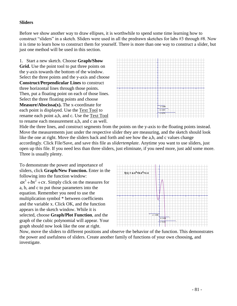#### **Sliders**

Before we show another way to draw ellipses, it is worthwhile to spend some time learning how to construct "sliders" in a sketch. Sliders were used in all the predrawn sketches for labs #3 through #8. Now it is time to learn how to construct them for yourself. There is more than one way to construct a slider, but just one method will be used in this section.

1. Start a new sketch. Choose **Graph/Show Grid.** Use the point tool to put three points on the y-axis towards the bottom of the window. Select the three points and the y-axis and choose **Construct/Perpendicular Lines** to construct three horizontal lines through those points. Then, put a floating point on each of those lines. Select the three floating points and choose **Measure/Abscissa(x).** The x-coordinate for each point is displayed. Use the Text Tool to rename each point a,b, and c. Use the Text Tool to rename each measurement a,b, and c as well.



Hide the three lines, and construct segments from the points on the y-axis to the floating points instead. Move the measurements just under the respective slider they are measuring, and the sketch should look like the one at right. Move the sliders back and forth and see how the a,b, and c values change accordingly. Click File/Save, and save this file as *slidertemplate*. Anytime you want to use sliders, just open up this file. If you need less than three sliders, just eliminate, if you need more, just add some more. Three is usually plenty.

To demonstrate the power and importance of sliders, click **Graph/New Function.** Enter in the following into the function window:  $ax^3 + bx^2 + cx$ . Simply click on the measures for a, b, and c to put those parameters into the equation. Remember you need to use the multiplication symbol \* between coefficients and the variable x. Click OK, and the function appears in the sketch window. While it is selected, choose **Graph/Plot Function**, and the graph of the cubic polynomial will appear. Your graph should now look like the one at right.



Now, move the sliders to different positions and observe the behavior of the function. This demonstrates the power and usefulness of sliders. Create another family of functions of your own choosing, and investigate.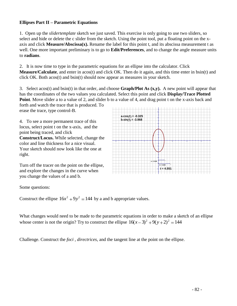#### **Ellipses Part II – Parametric Equations**

1. Open up the *slidertemplate* sketch we just saved. This exercise is only going to use two sliders, so select and hide or delete the c slider from the sketch. Using the point tool, put a floating point on the xaxis and click **Measure/Abscissa(x).** Rename the label for this point t, and its abscissa measurement t as well. One more important preliminary is to go to **Edit/Preferences**, and to change the angle measure units to **radians**.

2. It is now time to type in the parametric equations for an ellipse into the calculator. Click **Measure/Calculate**, and enter in acos(t) and click OK. Then do it again, and this time enter in bsin(t) and click OK. Both acos(t) and bsin(t) should now appear as measures in your sketch.

3. Select acos(t) and bsin(t) in that order, and choose **Graph/Plot As (x,y).** A new point will appear that has the coordinates of the two values you calculated. Select this point and click **Display/Trace Plotted Point**. Move slider a to a value of 2, and slider b to a value of 4, and drag point t on the x-axis back and

forth and watch the trace that is produced. To erase the trace, type control-B.

4. To see a more permanent trace of this locus, select point t on the x-axis, and the point being traced, and click **Construct/Locus.** While selected, change the color and line thickness for a nice visual. Your sketch should now look like the one at right.

10 8 6 4 24.  $\frac{1}{1}$ |<br>|<br>| - 4<br>|-<br>| - 8 -10 -15 -10 - 5 <sup>5</sup> <sup>10</sup> <sup>15</sup>  $b \cdot \sin(t) = -3.968$  $a \cdot cos(t) = -0.325$ **t = 4.551 b = 4.020 a = 2.018** I a b t

Turn off the tracer on the point on the ellipse, and explore the changes in the curve when you change the values of a and b.

Some questions:

Construct the ellipse  $16x^2 + 9y^2 = 144$  by a and b appropriate values.

What changes would need to be made to the parametric equations in order to make a sketch of an ellipse whose center is not the origin? Try to construct the ellipse  $16(x-3)^2 + 9(y+2)^2 = 144$ 

Challenge. Construct the *foci* , *directrices*, and the tangent line at the point on the ellipse.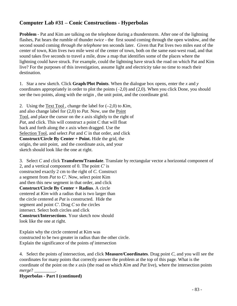# **Computer Lab #31 – Conic Constructions - Hyperbolas**

**Problem** - Pat and Kim are talking on the telephone during a thunderstorm. After one of the lightning flashes, Pat hears the rumble of thunder *twice* - the first sound coming through the open window, and the second sound coming *through the telephone* ten seconds later. Given that Pat lives two miles east of the center of town, Kim lives two mile west of the center of town, both on the same east-west road, and that sound takes five seconds to travel a mile, draw a map that identifies some of the places where the lightning could have struck. For example, could the lightning have struck the road on which Pat and Kim live? For the purposes of this investigation, assume light and electricity take no time to reach their destination.

1. Star a new sketch. Click **Graph**/**Plot Points**. When the dialogue box opens, enter the *x* and *y* coordinates appropriately in order to plot the points  $(-2,0)$  and  $(2,0)$ . When you click Done, you should see the two points, along with the origin *,* the unit point, and the coordinate grid.

2. Using the Text Tool, change the label for  $(-2,0)$  to *Kim*, and also change label for (2,0) to *Pat.* Now, use the Point Tool, and place the cursor on the *x* axis slightly to the right of *Pat*, and click. This will construct a point C that will float back and forth along the *x* axis when dragged. Use the Selection Tool, and select *Pat* and *C* in that order, and click **Construct/Circle By Center + Point.** Hide the grid, the origin, the unit point, and the coordinate axis, and your sketch should look like the one at right.

3. Select *C* and click **Transform/Translate**. Translate by rectangular vector a horizontal component of 2, and a vertical component of 0. The point *C'* is constructed exactly 2 cm to the right of *C.* Construct a segment from *Pat* to *C'*. Now, select point Kim and then this new segment in that order, and click **Construct/Circle By Center + Radius**. A circle centered at *Kim* with a radius that is two larger than the circle centered at *Pat* is constructed. Hide the segment and point *C'*. Drag *C* so the circles intersect. Select both circles and click **Construct/Intersections**. Your sketch now should look like the one at right.

Explain why the circle centered at Kim was constructed to be two greater in radius than the other circle. Explain the significance of the points *of* intersection

4. Select the points *of* intersection, and click **Measure/Coordinates**. Drag point *C*, and you will see the coordinates for many points that correctly answer the problem at the top of this page. What is the coordinate of the point on the *x* axis (the road on which *Kim* and *Pat* live), where the intersection points *merge*? \_\_\_\_\_\_\_\_\_.

#### **Hyperbolas - Part I (continued)**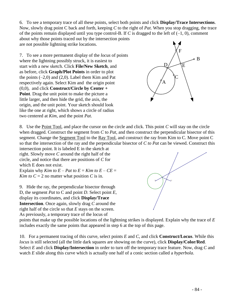6. To see a temporary trace of all these points, select both points and click **Display/Trace Intersections**. Now, slowly drag point C back and forth, keeping *C* to the right of *Pat*. When you stop dragging, the trace

of the points remain displayed until you type control-B. If *C* is dragged to the left of  $(-1, 0)$ , comment about why those points traced out by the intersection points are not possible lightning strike locations.

7. To see a more permanent display of the *locus* of points where the lightning possibly struck, it is easiest to start with a new sketch. Click **File/New Sketch**, and as before, click **Graph/Plot Points** in order to plot the points  $(-2,0)$  and  $(2,0)$ . Label them Kim and Pat respectively again. Select Kim and the origin point (0,0), and click **Construct/Circle by Center + Point**. Drag the unit point to make the picture a little larger, and then hide the grid, the axis, the origin, and the unit point. Your sketch should look like the one at right, which shows a circle of radius two centered at *Kim*, and the point *Pat*.



8. Use the Point Tool, and place the cursor on the circle and click. This point *C* will stay on the circle when dragged. Construct the segment from *C* to *Pat*, and then construct the perpendicular bisector of this segment. Change the Segment Tool to the Ray Tool, and construct the ray from Kim to C. Move point C so that the intersection of the ray and the perpendicular bisector of *C to Pat* can be viewed. Construct this

intersection point. It is labeled E in the sketch at right. Slowly move *C* around the right half of the circle, and notice that there are positions of *C* for which E does not exist.

Explain why *Kim to*  $E - Pat$  *to*  $E = Kim$  *to*  $E - CE =$ *Kim to*  $C = 2$  no matter what position *C* is in.

9. Hide the ray, the perpendicular bisector through D, the segment *Pat* to C and point *D*. Select point *E,* display its coordinates, and click **Display/Trace Intersection**. Once again, slowly drag *C* around the right half of the circle so that *E* stays on the screen. As previously, a temporary trace of the locus of



points that make up the possible locations of the lightning strikes is displayed. Explain why the trace of *E* includes exactly the same points that appeared in step 6 at the top of this page.

10. For a permanent tracing of this curve, select points *E* and *C*, and click **Construct/Locus**. While this *locus* is still selected (all the little dark squares are showing on the curve), click **Display/Color/Red**. Select *E* and click **Display/Intersection** in order to turn off the temporary trace feature. Now, drag *C* and watch *E* slide along this curve which is actually one half of a conic section called a *hyperbola*.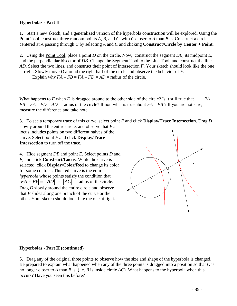#### **Hyperbolas - Part II**

1. Start a new sketch, and a generalized version of the hyperbola construction will be explored. Using the Point Tool, construct three random points *A*, *B*, and *C*, with *C* closer to *A* than *B* is. Construct a circle centered at *A* passing through *C* by selecting *A* and *C* and clicking **Construct/Circle by Center + Point**.

2. Using the Point Tool, place a point *D* on the circle. Now, construct the segment *DB*, its midpoint *E*, and the perpendicular bisector of *DB*. Change the Segment Tool to the Line Tool, and construct the line *AD*. Select the two lines, and construct their point of intersection *F*. Your sketch should look like the one at right. Slowly move *D* around the right half of the circle and observe the behavior of *F*.

Explain why  $FA - FB = FA - FD = AD =$  radius of the circle.

What happens to  $F$  when  $D$  is dragged around to the other side of the circle? Is it still true that  $FA FB = FA - FD = AD =$  radius of the circle? If not, what is true about  $FA - FB$ ? If you are not sure, measure the difference and take note.

3. To see a temporary trace of this curve, select point *F* and click **Display/Trace Intersection**. Drag *D* slowly around the entire circle, and observe that *F's* locus includes points on two different halves of the curve. Select point *F* and click **Display/Trace** 

**Intersection** to turn off the trace.

4. Hide segment *DB* and point *E*. Select points *D* and *F*, and click **Construct/Locus**. While the curve is selected, click **Display/Color/Red** to change its color for some contrast. This red curve is the entire *hyperbola* whose points satisfy the condition that  $FA$  -  $FB$  =  $|AD|$  =  $|AC|$  = radius of the circle. Drag *D* slowly around the entire circle and observe that *F* slides along one branch of the curve or the other. Your sketch should look like the one at right.



#### **Hyperbolas - Part II (continued)**

5. Drag any of the original three points to observe how the size and shape of the hyperbola is changed. Be prepared to explain what happened when any of the three points is dragged into a position so that *C* is no longer closer to *A* than *B* is. (i.e. *B* is inside circle *AC*). What happens to the hyperbola when this occurs? Have you seen this before?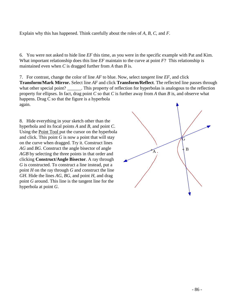Explain why this has happened. Think carefully about the roles of *A, B, C*, and *F*.

6. You were not asked to hide line *EF* this time, as you were in the specific example with Pat and Kim. What important relationship does this line *EF* maintain to the curve at point *F*? This relationship is maintained even when *C* is dragged further from *A* than *B* is.

7. For contrast, change the color of line *AF* to blue. Now, select *tangent line EF,* and click **Transform/Mark Mirror.** Select line *AF* and click **Transform/Reflect**. The reflected line passes through what other special point? \_\_\_\_\_\_. This property of reflection for hyperbolas is analogous to the reflection property for ellipses. In fact, drag point *C* so that *C* is further away from *A* than *B* is, and observe what happens. Drag C so that the figure is a hyperbola again.

8. Hide everything in your sketch other than the hyperbola and its focal points *A* and *B,* and point *C*. Using the Point Tool put the cursor on the hyperbola and click. This point  $G$  is now a point that will stay on the curve when dragged. Try it. Construct lines *AG* and *BG*. Construct the angle bisector of angle *AGB* by selecting the three points in that order and clicking **Construct/Angle Bisector**. A ray through *G* is constructed. To construct a line instead, put a point *H* on the ray through *G* and construct the line *GH*. Hide the lines *AG*, *BG*, and point *H*, and drag point *G* around. This line is the tangent line for the hyperbola at point *G*.

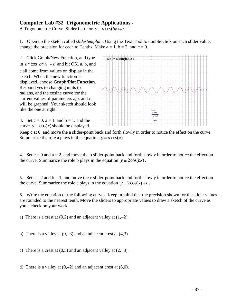### **Computer Lab #32 Trigonometric Applications -**

A Trigonometric Curve Slider Lab for  $y = a\cos(bx) + c$ 

1.Open up the sketch called *slidertemplate*. Using the Text Tool to double-click on each slider value, change the precision for each to Tenths. Make  $a = 1$ ,  $b = 2$ , and  $c = 0$ .

2. Click Graph/New Function, and type in  $a^*$ cos  $b^*x + c$  and hit OK. a, b, and c all come from values on display in the sketch. When the new function is displayed, choose **Graph/Plot Function.**  Respond yes to changing units to radians, and the cosine curve for the current values of parameters a,b, and c will be graphed. Your sketch should look like the one at right.



3. Set  $c = 0$ ,  $a = 1$ , and  $b = 1$ , and the curve  $y = cos(x)$  should be displayed.

Keep c at 0, and move the a slider-point back and forth slowly in order to notice the effect on the curve. Summarize the role a plays in the equation  $y = a \cos(x)$ .

4. Set  $c = 0$  and  $a = 2$ , and move the b slider-point back and forth slowly in order to notice the effect on the curve. Summarize the role b plays in the equation  $y = 2\cos(bx)$ .

5. Set  $a = 2$  and  $b = 1$ , and move the c slider-point back and forth slowly in order to notice the effect on the curve. Summarize the role c plays in the equation  $y = 2\cos(x) + c$ .

6. Write the equation of the following curves. Keep in mind that the precision shown for the slider values are rounded to the nearest tenth. Move the sliders to appropriate values to draw a sketch of the curve as you a check on your work.

a) There is a crest at  $(0,2)$  and an adjacent valley at  $(1,-2)$ .

- b) There is a valley at  $(0,-3)$  and an adjacent crest at  $(4,3)$ .
- c) There is a crest at  $(0,5)$  and an adjacent valley at  $(2,-3)$ .
- d) There is a valley at  $(0,-2)$  and an adjacent crest at  $(6,0)$ .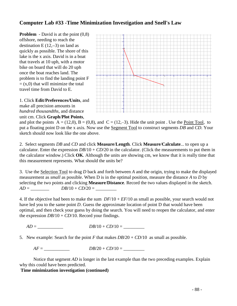### **Computer Lab #33 -Time Minimization Investigation and Snell's Law**

**Problem** - David is at the point  $(0,8)$ offshore, needing to reach the destination  $E(12,-3)$  on land as quickly as possible. The shore of this lake is the x axis. David is in a boat that travels at 10 uph, with a motor bike on board that will do 20 uph once the boat reaches land. The problem is to find the landing point F  $=$  (x,0) that will minimize the total travel time from David to E.





and plot the points  $A = (12,0)$ ,  $B = (0,8)$ , and  $C = (12,-3)$ . Hide the unit point . Use the Point Tool, to put a floating point D on the x axis. Now use the Segment Tool to construct segments *DB* and *CD*. Your sketch should now look like the one above.

2. Select segments *DB* and *CD* and click **Measure**/**Length**. Click **Measure**/**Calculate**... to open up a calculator. Enter the expression  $DB/10 + CD/20$  in the calculator. (Click the measurements to put them in the calculator window.) Click **OK**. Although the units are showing cm, we know that it is really time that this measurement represents. What should the units be?

3. Use the Selection Tool to drag *D* back and forth between *A* and the origin, trying to make the displayed measurement as *small* as possible. When D is in the optimal position, measure the distance *A* to *D* by selecting the two points and clicking **Measure**/**Distance**. Record the two values displayed in the sketch.  $AD = DB/10 + CD/20 =$ 

4. If the objective had been to make the sum *DF*/10 + *EF*/10 as small as possible, your search would not have led you to the same point *D*. Guess the approximate location of point D that would have been optimal, and then check your guess by doing the search. You will need to reopen the calculator, and enter the expression  $DB/10 + CD/10$ . Record your findings.

*AD* = \_\_\_\_\_\_\_\_\_\_\_ *DB*/10 + *CD*/10 = \_\_\_\_\_\_\_\_\_

5. New example: Search for the point *F* that makes  $DB/20 + CD/10$  as small as possible.

 $AF =$   $DB/20 + CD/10 =$ 

Notice that segment *AD* is longer in the last example than the two preceding examples. Explain why this could have been predicted.

#### **Time minimization investigation (continued)**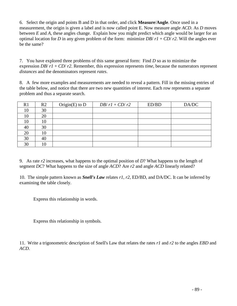6. Select the origin and points B and D in that order, and click **Measure**/**Angle**. Once used in a measurement, the origin is given a label and is now called point E. Now measure angle *ACD*. As *D* moves between *E* and *A*, these angles change. Explain how you might predict which angle would be larger for an optimal location for *D* in any given problem of the form: minimize *DB*/ $r1 + CD/r2$ . Will the angles ever be the same?

7. You have explored three problems of this same general form: Find *D* so as to minimize the expression *DB*/ *r1* + *CD*/ *r2*. Remember, this expression represents *time*, because the numerators represent *distances* and the denominators represent *rates*.

8. A few more examples and measurements are needed to reveal a pattern. Fill in the missing entries of the table below, and notice that there are two new quantities of interest. Each row represents a separate problem and thus a separate search.

| R <sub>1</sub> | R <sub>2</sub> | Origin(E) to $D$ | $DB/rl$ + $CD/r2$ | ED/BD | DA/DC |
|----------------|----------------|------------------|-------------------|-------|-------|
| 10             | 30             |                  |                   |       |       |
| 10             | 20             |                  |                   |       |       |
| 10             | 10             |                  |                   |       |       |
| 40             | 30             |                  |                   |       |       |
| 20             | 10             |                  |                   |       |       |
| 30             | 40             |                  |                   |       |       |
| 30             | 10             |                  |                   |       |       |

9. As rate *r2* increases, what happens to the optimal position of *D*? What happens to the length of segment *DC*? What happens to the size of angle *ACD*? Are *r2* and angle *ACD* linearly related?

10. The simple pattern known as *Snell's Law* relates *r1*, *r2*, ED/BD, and DA/DC. It can be inferred by examining the table closely.

Express this relationship in words.

Express this relationship in symbols.

11. Write a trigonometric description of Snell's Law that relates the rates *r1* and *r2* to the angles *EBD* and *ACD*.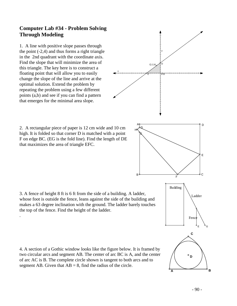# **Computer Lab #34 - Problem Solving Through Modeling**

1. A line with positive slope passes through the point  $(-2, 4)$  and thus forms a right triangle in the 2nd quadrant with the coordinate axis. Find the slope that will minimize the area of this triangle. The key here is to construct a floating point that will allow you to easily change the slope of the line and arrive at the optimal solution. Extend the problem by repeating the problem using a few different points (a,b) and see if you can find a pattern that emerges for the minimal area slope.

that maximizes the area of triangle EFC.

.



3. A fence of height 8 ft is 6 ft from the side of a building. A ladder, whose foot is outside the fence, leans against the side of the building and makes a 63 degree inclination with the ground. The ladder barely touches the top of the fence. Find the height of the ladder.

4. A section of a Gothic window looks like the figure below. It is framed by two circular arcs and segment AB. The center of arc BC is A, and the center of arc AC is B. The complete circle shown is tangent to both arcs and to segment AB. Given that  $AB = 8$ , find the radius of the circle.



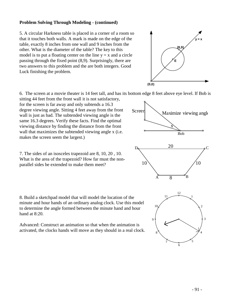### **Problem Solving Through Modeling - (continued)**

5. A circular Harkness table is placed in a corner of a room so that it touches both walls. A mark is made on the edge of the table, exactly 8 inches from one wall and 9 inches from the other. What is the diameter of the table? The key to this model is to put a floating center on the line  $y = x$  and a circle passing through the fixed point (8,9). Surprisingly, there are two answers to this problem and the are both integers. Good Luck finishing the problem.



6. The screen at a movie theater is 14 feet tall, and has its bottom edge 8 feet above eye level. If Bob is

sitting 44 feet from the front wall it is not satisfactory, for the screen is far away and only subtends a 16.3 degree viewing angle. Sitting 4 feet away from the front wall is just as bad. The subtended viewing angle is the same 16.3 degrees. Verify these facts. Find the optimal viewing distance by finding the distance from the front wall that maximizes the subtended viewing angle x (i.e. makes the screen seem the largest.)

7. The sides of an isosceles trapezoid are 8, 10, 20 , 10. What is the area of the trapezoid? How far must the nonparallel sides be extended to make them meet?

8. Build a sketchpad model that will model the location of the minute and hour hands of an ordinary analog clock. Use this model to determine the angle formed between the minute hand and hour hand at 8:20.

Advanced: Construct an animation so that when the animation is activated, the clocks hands will move as they should in a real clock.



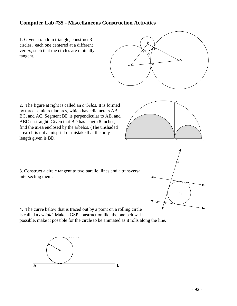### **Computer Lab #35 - Miscellaneous Construction Activities**

1. Given a random triangle, construct 3 circles, each one centered at a different vertex, such that the circles are mutually tangent.



2. The figure at right is called an *arbelos.* It is formed by three semicircular arcs, which have diameters AB, BC, and AC. Segment BD is perpendicular to AB, and ABC is straight. Given that BD has length 8 inches, find the **area** enclosed by the arbelos. (The unshaded area.) It is not a misprint or mistake that the only length given is BD.





3. Construct a circle tangent to two parallel lines and a transversal intersecting them.

4. The curve below that is traced out by a point on a rolling circle is called a *cycloid*. Make a GSP construction like the one below. If possible, make it possible for the circle to be animated as it rolls along the line.

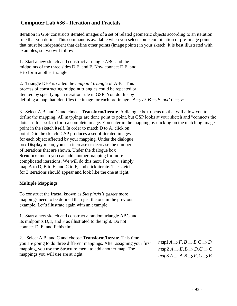# **Computer Lab #36 - Iteration and Fractals**

Iteration in GSP constructs iterated images of a set of related geometric objects according to an iteration rule that you define. This command is available when you select some combination of pre-image points that must be independent that define other points (image points) in your sketch. It is best illustrated with examples, so two will follow.

1. Start a new sketch and construct a triangle ABC and the midpoints of the three sides D,E, and F. Now connect D,E, and F to form another triangle.

2. Triangle DEF is called the *midpoint triangle* of ABC. This process of constructing midpoint triangles could be repeated or iterated by specifying an iteration rule in GSP. You do this by iterated by specifying an iteration rule in GSP. You do this by<br>defining a map that identifies the image for each pre-image.  $A \Rightarrow D, B \Rightarrow E$ , and  $C \Rightarrow F$ .

3. Select A,B, and C and choose **Transform/Iterate**. A dialogue box opens up that will allow you to define the mapping. All mappings are done point to point, but GSP looks at your sketch and "connects the dots" so to speak to form a complete image. You enter in the mapping by clicking on the matching image point in the sketch itself. In order to match D to A, click on point D in the sketch. GSP produces a set of iterated images for each object affected by your mapping. Under the dialogue box **Display** menu, you can increase or decrease the number of iterations that are shown. Under the dialogue box **Structure** menu you can add another mapping for more complicated iterations. We will do this next. For now, simply map A to D, B to E, and C to F, and click iterate. The sketch for 3 iterations should appear and look like the one at right.

### **Multiple Mappings**

To construct the fractal known as *Sierpinski's gasket* more mappings need to be defined than just the one in the previous example. Let's illustrate again with an example.

1. Start a new sketch and construct a random triangle ABC and its midpoints D,E, and F as illustrated to the right. Do not connect D, E, and F this time.

2. Select A,B, and C and choose **Transform/Iterate**. This time you are going to do three different mappings. After assigning your first mapping, you use the Structure menu to add another map. The mappings you will use are at right.

 $map1 A \Rightarrow F, B \Rightarrow B, C \Rightarrow D$  $map1 A \rightarrow P, B \rightarrow B, C \rightarrow D$ <br> $map2 A \rightarrow E, B \rightarrow D, C \rightarrow C$  $map_2 A \to E, B \to B, C \to C$ <br> $map_3 A \to A, B \to F, C \to E$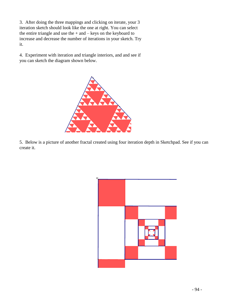3. After doing the three mappings and clicking on iterate, your 3 iteration sketch should look like the one at right. You can select the entire triangle and use the + and – keys on the keyboard to increase and decrease the number of iterations in your sketch. Try it.

4. Experiment with iteration and triangle interiors, and and see if you can sketch the diagram shown below.



5. Below is a picture of another fractal created using four iteration depth in Sketchpad. See if you can create it.

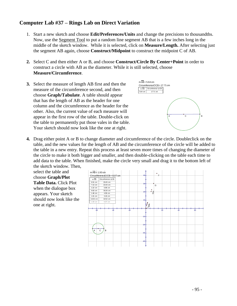# **Computer Lab #37 – Rings Lab on Direct Variation**

- 1. Start a new sketch and choose **Edit/Preferences/Units** and change the precisions to thousandths. Now, use the Segment Tool to put a random line segment AB that is a few inches long in the middle of the sketch window. While it is selected, click on **Measure/Length.** After selecting just the segment AB again, choose **Construct/Midpoint** to construct the midpoint C of AB.
- **2.** Select C and then either A or B, and choose **Construct/Circle By Center+Point** in order to construct a circle with AB as the diameter. While it is still selected, choose **Measure/Circumference**.
- **3.** Select the measure of length AB first and then the measure of the circumference second, and then choose **Graph/Tabulate**. A table should appear that has the length of AB as the header for one column and the circumference as the header for the other. Also, the current value of each measure will appear in the first row of the table. Double-click on the table to permanently put those vales in the table. Your sketch should now look like the one at right.



**4.** Drag either point A or B to change diameter and circumference of the circle. Doubleclick on the table, and the new values for the length of AB and the circumference of the circle will be added to the table in a new entry. Repeat this process at least seven more times of changing the diameter of the circle to make it both bigger and smaller, and then double-clicking on the table each time to add data to the table. When finished, make the circle very small and drag it to the bottom left of the sketch window. Then,

select the table and choose **Graph/Plot Table Data.** Click Plot when the dialogue box appears. Your sketch should now look like the one at right.

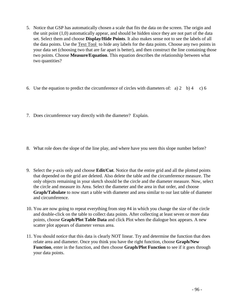- 5. Notice that GSP has automatically chosen a scale that fits the data on the screen. The origin and the unit point (1,0) automatically appear, and should be hidden since they are not part of the data set. Select them and choose **Display/Hide Points**. It also makes sense not to see the labels of all the data points. Use the Text Tool to hide any labels for the data points. Choose any two points in your data set (choosing two that are far apart is better), and then construct the line containing those two points. Choose **Measure/Equation**. This equation describes the relationship between what two quantities?
- 6. Use the equation to predict the circumference of circles with diameters of: a) 2 b) 4 c) 6
- 7. Does circumference vary directly with the diameter? Explain.
- 8. What role does the slope of the line play, and where have you seen this slope number before?
- 9. Select the *y*-axis only and choose **Edit/Cut**. Notice that the entire grid and all the plotted points that depended on the grid are deleted. Also delete the table and the circumference measure. The only objects remaining in your sketch should be the circle and the diameter measure. Now, select the circle and measure its Area. Select the diameter and the area in that order, and choose **Graph/Tabulate** to now start a table with diameter and area similar to our last table of diameter and circumference.
- 10. You are now going to repeat everything from step #4 in which you change the size of the circle and double-click on the table to collect data points. After collecting at least seven or more data points, choose **Graph/Plot Table Data** and click Plot when the dialogue box appears. A new scatter plot appears of diameter versus area.
- 11. You should notice that this data is clearly NOT linear. Try and determine the function that does relate area and diameter. Once you think you have the right function, choose **Graph/New Function**, enter in the function, and then choose **Graph/Plot Function** to see if it goes through your data points.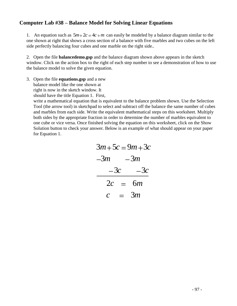### **Computer Lab #38 – Balance Model for Solving Linear Equations**

1. An equation such as  $5m+2c = 4c+m$  can easily be modeled by a balance diagram similar to the one shown at right that shows a cross section of a balance with five marbles and two cubes on the left side perfectly balancing four cubes and one marble on the right side..

2. Open the file **balancedemo.gsp** and the balance diagram shown above appears in the sketch window. Click on the action box to the right of each step number to see a demonstration of how to use the balance model to solve the given equation.

3. Open the file **equations.gsp** and a new balance model like the one shown at right is now in the sketch window. It

should have the title Equation 1. First,

write a mathematical equation that is equivalent to the balance problem shown. Use the Selection Tool (the arrow tool) in sketchpad to select and subtract off the balance the same number of cubes and marbles from each side. Write the equivalent mathematical steps on this worksheet. Multiply both sides by the appropriate fraction in order to determine the number of marbles equivalent to one cube or vice versa. Once finished solving the equation on this worksheet, click on the Show Solution button to check your answer. Below is an example of what should appear on your paper for Equation 1.

|              |     | $3m+5c=9m+3c$ |
|--------------|-----|---------------|
| $-3m$ $-3m$  |     |               |
| $-3c$        |     | $-3c$         |
| $2c =$       |     | бт            |
| $\mathcal C$ | $=$ | 3m            |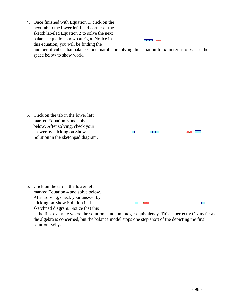4. Once finished with Equation 1, click on the next tab in the lower left hand corner of the sketch labeled Equation 2 to solve the next balance equation shown at right. Notice in  $\Box$ this equation, you will be finding the number of cubes that balances one marble, or solving the equation for *m* in terms of *c*. Use the space below to show work.

5. Click on the tab in the lower left marked Equation 3 and solve below. After solving, check your answer by clicking on Show  $\Box$  $\blacksquare \blacksquare \blacksquare$  $\sim$   $\Box$ Solution in the sketchpad diagram. 6. Click on the tab in the lower left marked Equation 4 and solve below. After solving, check your answer by clicking on Show Solution in the  $\Box$   $\blacksquare$  $\Box$ 

sketchpad diagram. Notice that this

is the first example where the solution is not an integer equivalency. This is perfectly OK as far as the algebra is concerned, but the balance model stops one step short of the depicting the final solution. Why?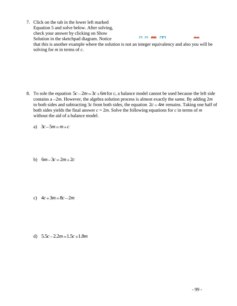7. Click on the tab in the lower left marked Equation 5 and solve below. After solving, check your answer by clicking on Show  $\sim$ Solution in the sketchpad diagram. Notice that this is another example where the solution is not an integer equivalency and also you will be solving for *m* in terms of *c*.

8. To sole the equation  $5c - 2m = 3c + 6m$  for *c*, a balance model cannot be used because the left side contains a  $-2m$ . However, the algebra solution process is almost exactly the same. By adding  $2m$ to both sides and subtracting 3c from both sides, the equation  $2c = 4m$  remains. Taking one half of both sides yields the final answer  $c = 2m$ . Solve the following equations for  $c$  in terms of  $m$ without the aid of a balance model.

a)  $3c - 5m = m + c$ 

b)  $6m-3c = 2m+2c$ 

- c)  $4c + 3m = 8c 2m$
- d)  $5.5c 2.2m = 1.5c + 1.8m$